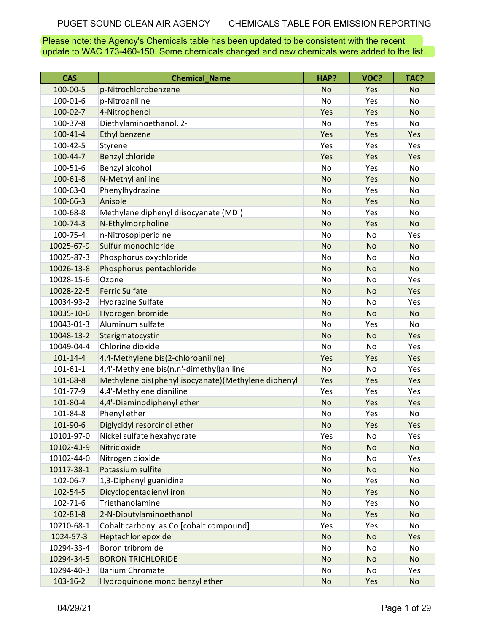Please note: the Agency's Chemicals table has been updated to be consistent with the recent update to WAC 173-460-150. Some chemicals changed and new chemicals were added to the list.

| <b>CAS</b>     | <b>Chemical Name</b>                                | HAP?      | VOC?      | TAC?      |
|----------------|-----------------------------------------------------|-----------|-----------|-----------|
| 100-00-5       | p-Nitrochlorobenzene                                | <b>No</b> | Yes       | <b>No</b> |
| 100-01-6       | p-Nitroaniline                                      | No        | Yes       | No        |
| $100 - 02 - 7$ | 4-Nitrophenol                                       | Yes       | Yes       | <b>No</b> |
| 100-37-8       | Diethylaminoethanol, 2-                             | <b>No</b> | Yes       | No        |
| $100 - 41 - 4$ | <b>Ethyl benzene</b>                                | Yes       | Yes       | Yes       |
| 100-42-5       | Styrene                                             | Yes       | Yes       | Yes       |
| 100-44-7       | Benzyl chloride                                     | Yes       | Yes       | Yes       |
| $100 - 51 - 6$ | Benzyl alcohol                                      | No        | Yes       | No        |
| $100 - 61 - 8$ | N-Methyl aniline                                    | <b>No</b> | Yes       | <b>No</b> |
| 100-63-0       | Phenylhydrazine                                     | <b>No</b> | Yes       | No        |
| 100-66-3       | Anisole                                             | <b>No</b> | Yes       | <b>No</b> |
| 100-68-8       | Methylene diphenyl diisocyanate (MDI)               | No        | Yes       | No        |
| 100-74-3       | N-Ethylmorpholine                                   | <b>No</b> | Yes       | <b>No</b> |
| 100-75-4       | n-Nitrosopiperidine                                 | No        | No        | Yes       |
| 10025-67-9     | Sulfur monochloride                                 | <b>No</b> | <b>No</b> | <b>No</b> |
| 10025-87-3     | Phosphorus oxychloride                              | No        | No        | No        |
| 10026-13-8     | Phosphorus pentachloride                            | <b>No</b> | <b>No</b> | <b>No</b> |
| 10028-15-6     | Ozone                                               | No        | No        | Yes       |
| 10028-22-5     | <b>Ferric Sulfate</b>                               | <b>No</b> | <b>No</b> | Yes       |
| 10034-93-2     | <b>Hydrazine Sulfate</b>                            | No        | No        | Yes       |
| 10035-10-6     | Hydrogen bromide                                    | <b>No</b> | <b>No</b> | <b>No</b> |
| 10043-01-3     | Aluminum sulfate                                    | No        | Yes       | No        |
| 10048-13-2     | Sterigmatocystin                                    | <b>No</b> | <b>No</b> | Yes       |
| 10049-04-4     | Chlorine dioxide                                    | No        | No        | Yes       |
| $101 - 14 - 4$ | 4,4-Methylene bis(2-chloroaniline)                  | Yes       | Yes       | Yes       |
| $101 - 61 - 1$ | 4,4'-Methylene bis(n,n'-dimethyl)aniline            | No        | No        | Yes       |
| 101-68-8       | Methylene bis(phenyl isocyanate)(Methylene diphenyl | Yes       | Yes       | Yes       |
| 101-77-9       | 4,4'-Methylene dianiline                            | Yes       | Yes       | Yes       |
| 101-80-4       | 4,4'-Diaminodiphenyl ether                          | <b>No</b> | Yes       | Yes       |
| 101-84-8       | Phenyl ether                                        | No        | Yes       | No        |
| 101-90-6       | Diglycidyl resorcinol ether                         | No        | Yes       | Yes       |
| 10101-97-0     | Nickel sulfate hexahydrate                          | Yes       | No        | Yes       |
| 10102-43-9     | Nitric oxide                                        | <b>No</b> | No        | <b>No</b> |
| 10102-44-0     | Nitrogen dioxide                                    | No        | No        | Yes       |
| 10117-38-1     | Potassium sulfite                                   | <b>No</b> | <b>No</b> | <b>No</b> |
| 102-06-7       | 1,3-Diphenyl guanidine                              | No        | Yes       | No        |
| 102-54-5       | Dicyclopentadienyl iron                             | <b>No</b> | Yes       | <b>No</b> |
| $102 - 71 - 6$ | Triethanolamine                                     | No        | Yes       | No        |
| 102-81-8       | 2-N-Dibutylaminoethanol                             | <b>No</b> | Yes       | No        |
| 10210-68-1     | Cobalt carbonyl as Co [cobalt compound]             | Yes       | Yes       | No        |
| 1024-57-3      | <b>Heptachlor epoxide</b>                           | <b>No</b> | No        | Yes       |
| 10294-33-4     | Boron tribromide                                    | No        | No        | No        |
| 10294-34-5     | <b>BORON TRICHLORIDE</b>                            | <b>No</b> | <b>No</b> | <b>No</b> |
| 10294-40-3     | <b>Barium Chromate</b>                              | No        | No        | Yes       |
| $103 - 16 - 2$ | Hydroquinone mono benzyl ether                      | <b>No</b> | Yes       | No        |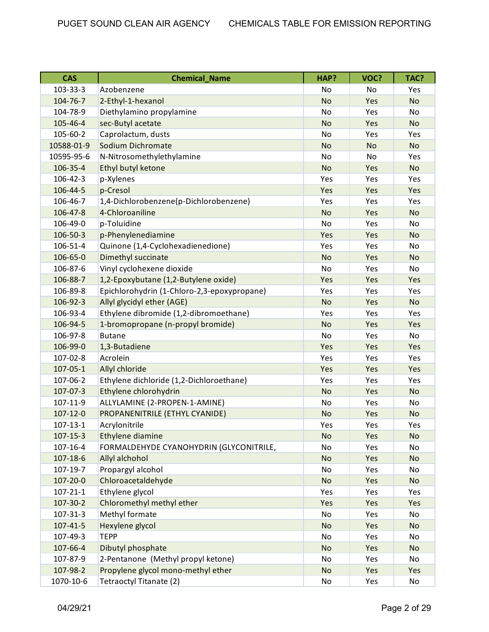| <b>CAS</b>     | <b>Chemical Name</b>                        | HAP?      | VOC?      | TAC?      |
|----------------|---------------------------------------------|-----------|-----------|-----------|
| 103-33-3       | Azobenzene                                  | No        | No        | Yes       |
| 104-76-7       | 2-Ethyl-1-hexanol                           | <b>No</b> | Yes       | <b>No</b> |
| 104-78-9       | Diethylamino propylamine                    | No        | Yes       | No        |
| 105-46-4       | sec-Butyl acetate                           | <b>No</b> | Yes       | <b>No</b> |
| 105-60-2       | Caprolactum, dusts                          | No        | Yes       | Yes       |
| 10588-01-9     | Sodium Dichromate                           | <b>No</b> | <b>No</b> | <b>No</b> |
| 10595-95-6     | N-Nitrosomethylethylamine                   | No        | No        | Yes       |
| 106-35-4       | Ethyl butyl ketone                          | <b>No</b> | Yes       | <b>No</b> |
| 106-42-3       | p-Xylenes                                   | Yes       | Yes       | Yes       |
| 106-44-5       | p-Cresol                                    | Yes       | Yes       | Yes       |
| 106-46-7       | 1,4-Dichlorobenzene(p-Dichlorobenzene)      | Yes       | Yes       | Yes       |
| 106-47-8       | 4-Chloroaniline                             | <b>No</b> | Yes       | <b>No</b> |
| 106-49-0       | p-Toluidine                                 | No        | Yes       | <b>No</b> |
| 106-50-3       | p-Phenylenediamine                          | Yes       | Yes       | <b>No</b> |
| 106-51-4       | Quinone (1,4-Cyclohexadienedione)           | Yes       | Yes       | No        |
| 106-65-0       | Dimethyl succinate                          | <b>No</b> | Yes       | <b>No</b> |
| 106-87-6       | Vinyl cyclohexene dioxide                   | No        | Yes       | No        |
| 106-88-7       | 1,2-Epoxybutane (1,2-Butylene oxide)        | Yes       | Yes       | Yes       |
| 106-89-8       | Epichlorohydrin (1-Chloro-2,3-epoxypropane) | Yes       | Yes       | Yes       |
| 106-92-3       | Allyl glycidyl ether (AGE)                  | <b>No</b> | Yes       | <b>No</b> |
| 106-93-4       | Ethylene dibromide (1,2-dibromoethane)      | Yes       | Yes       | Yes       |
| 106-94-5       | 1-bromopropane (n-propyl bromide)           | <b>No</b> | Yes       | Yes       |
| 106-97-8       | <b>Butane</b>                               | No        | Yes       | No        |
| 106-99-0       | 1,3-Butadiene                               | Yes       | Yes       | Yes       |
| 107-02-8       | Acrolein                                    | Yes       | Yes       | Yes       |
| $107 - 05 - 1$ | Allyl chloride                              | Yes       | Yes       | Yes       |
| 107-06-2       | Ethylene dichloride (1,2-Dichloroethane)    | Yes       | Yes       | Yes       |
| 107-07-3       | Ethylene chlorohydrin                       | <b>No</b> | Yes       | <b>No</b> |
| 107-11-9       | ALLYLAMINE (2-PROPEN-1-AMINE)               | No        | Yes       | No        |
| $107 - 12 - 0$ | PROPANENITRILE (ETHYL CYANIDE)              | <b>No</b> | Yes       | <b>No</b> |
| $107 - 13 - 1$ | Acrylonitrile                               | Yes       | Yes       | Yes       |
| $107 - 15 - 3$ | Ethylene diamine                            | No        | Yes       | No        |
| $107 - 16 - 4$ | FORMALDEHYDE CYANOHYDRIN (GLYCONITRILE,     | No        | Yes       | No        |
| $107 - 18 - 6$ | Allyl alchohol                              | <b>No</b> | Yes       | <b>No</b> |
| 107-19-7       | Propargyl alcohol                           | No        | Yes       | No        |
| 107-20-0       | Chloroacetaldehyde                          | <b>No</b> | Yes       | <b>No</b> |
| $107 - 21 - 1$ | Ethylene glycol                             | Yes       | Yes       | Yes       |
| 107-30-2       | Chloromethyl methyl ether                   | Yes       | Yes       | Yes       |
| $107 - 31 - 3$ | Methyl formate                              | No        | Yes       | No        |
| $107 - 41 - 5$ | Hexylene glycol                             | <b>No</b> | Yes       | <b>No</b> |
| 107-49-3       | <b>TEPP</b>                                 | No        | Yes       | No        |
| 107-66-4       | Dibutyl phosphate                           | <b>No</b> | Yes       | <b>No</b> |
| 107-87-9       | 2-Pentanone (Methyl propyl ketone)          | No        | Yes       | No        |
| 107-98-2       | Propylene glycol mono-methyl ether          | <b>No</b> | Yes       | Yes       |
| 1070-10-6      | Tetraoctyl Titanate (2)                     | No        | Yes       | No        |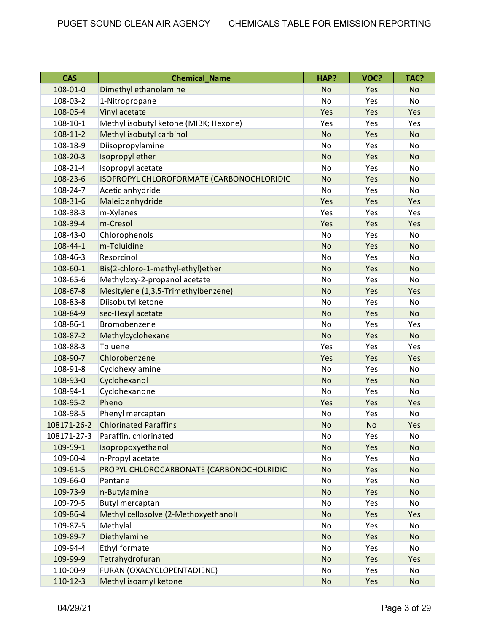| <b>CAS</b>     | <b>Chemical Name</b>                      | HAP?      | VOC? | TAC?      |
|----------------|-------------------------------------------|-----------|------|-----------|
| 108-01-0       | Dimethyl ethanolamine                     | <b>No</b> | Yes  | <b>No</b> |
| 108-03-2       | 1-Nitropropane                            | <b>No</b> | Yes  | No        |
| 108-05-4       | Vinyl acetate                             | Yes       | Yes  | Yes       |
| 108-10-1       | Methyl isobutyl ketone (MIBK; Hexone)     | Yes       | Yes  | Yes       |
| $108 - 11 - 2$ | Methyl isobutyl carbinol                  | <b>No</b> | Yes  | <b>No</b> |
| 108-18-9       | Diisopropylamine                          | <b>No</b> | Yes  | No        |
| 108-20-3       | Isopropyl ether                           | <b>No</b> | Yes  | <b>No</b> |
| 108-21-4       | Isopropyl acetate                         | No        | Yes  | No        |
| 108-23-6       | ISOPROPYL CHLOROFORMATE (CARBONOCHLORIDIC | <b>No</b> | Yes  | <b>No</b> |
| 108-24-7       | Acetic anhydride                          | No        | Yes  | No        |
| 108-31-6       | Maleic anhydride                          | Yes       | Yes  | Yes       |
| 108-38-3       | m-Xylenes                                 | Yes       | Yes  | Yes       |
| 108-39-4       | m-Cresol                                  | Yes       | Yes  | Yes       |
| 108-43-0       | Chlorophenols                             | <b>No</b> | Yes  | <b>No</b> |
| 108-44-1       | m-Toluidine                               | <b>No</b> | Yes  | <b>No</b> |
| 108-46-3       | Resorcinol                                | No        | Yes  | <b>No</b> |
| 108-60-1       | Bis(2-chloro-1-methyl-ethyl)ether         | <b>No</b> | Yes  | <b>No</b> |
| 108-65-6       | Methyloxy-2-propanol acetate              | No        | Yes  | No        |
| 108-67-8       | Mesitylene (1,3,5-Trimethylbenzene)       | <b>No</b> | Yes  | Yes       |
| 108-83-8       | Diisobutyl ketone                         | <b>No</b> | Yes  | No        |
| 108-84-9       | sec-Hexyl acetate                         | <b>No</b> | Yes  | <b>No</b> |
| 108-86-1       | Bromobenzene                              | No        | Yes  | Yes       |
| 108-87-2       | Methylcyclohexane                         | <b>No</b> | Yes  | <b>No</b> |
| 108-88-3       | Toluene                                   | Yes       | Yes  | Yes       |
| 108-90-7       | Chlorobenzene                             | Yes       | Yes  | Yes       |
| 108-91-8       | Cyclohexylamine                           | No        | Yes  | No        |
| 108-93-0       | Cyclohexanol                              | <b>No</b> | Yes  | <b>No</b> |
| 108-94-1       | Cyclohexanone                             | No        | Yes  | No        |
| 108-95-2       | Phenol                                    | Yes       | Yes  | Yes       |
| 108-98-5       | Phenyl mercaptan                          | No        | Yes  | No        |
| 108171-26-2    | <b>Chlorinated Paraffins</b>              | No        | No   | Yes       |
| 108171-27-3    | Paraffin, chlorinated                     | No        | Yes  | No        |
| 109-59-1       | Isopropoxyethanol                         | <b>No</b> | Yes  | <b>No</b> |
| 109-60-4       | n-Propyl acetate                          | No        | Yes  | No        |
| 109-61-5       | PROPYL CHLOROCARBONATE (CARBONOCHOLRIDIC  | <b>No</b> | Yes  | <b>No</b> |
| 109-66-0       | Pentane                                   | No        | Yes  | No        |
| 109-73-9       | n-Butylamine                              | <b>No</b> | Yes  | <b>No</b> |
| 109-79-5       | Butyl mercaptan                           | No        | Yes  | No        |
| 109-86-4       | Methyl cellosolve (2-Methoxyethanol)      | <b>No</b> | Yes  | Yes       |
| 109-87-5       | Methylal                                  | No        | Yes  | No        |
| 109-89-7       | Diethylamine                              | <b>No</b> | Yes  | <b>No</b> |
| 109-94-4       | Ethyl formate                             | No        | Yes  | No        |
| 109-99-9       | Tetrahydrofuran                           | <b>No</b> | Yes  | Yes       |
| 110-00-9       | FURAN (OXACYCLOPENTADIENE)                | No        | Yes  | No        |
| $110-12-3$     | Methyl isoamyl ketone                     | No        | Yes  | <b>No</b> |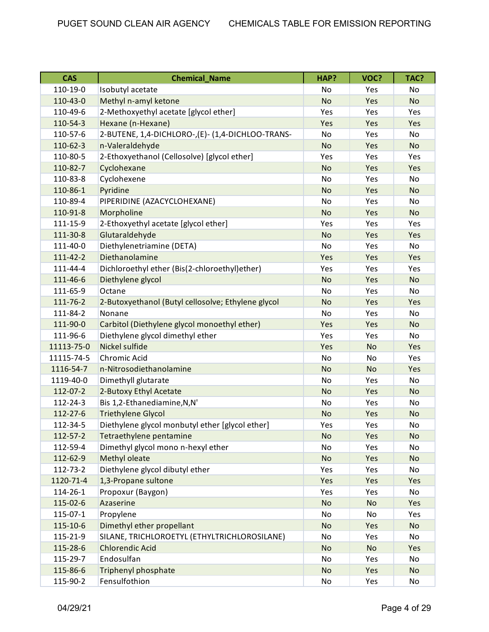| <b>CAS</b> | <b>Chemical Name</b>                               | HAP?      | VOC?      | TAC?      |
|------------|----------------------------------------------------|-----------|-----------|-----------|
| 110-19-0   | Isobutyl acetate                                   | No        | Yes       | No        |
| 110-43-0   | Methyl n-amyl ketone                               | <b>No</b> | Yes       | <b>No</b> |
| 110-49-6   | 2-Methoxyethyl acetate [glycol ether]              | Yes       | Yes       | Yes       |
| 110-54-3   | Hexane (n-Hexane)                                  | Yes       | Yes       | Yes       |
| 110-57-6   | 2-BUTENE, 1,4-DICHLORO-,(E)- (1,4-DICHLOO-TRANS-   | No        | Yes       | No        |
| 110-62-3   | n-Valeraldehyde                                    | <b>No</b> | Yes       | <b>No</b> |
| 110-80-5   | 2-Ethoxyethanol (Cellosolve) [glycol ether]        | Yes       | Yes       | Yes       |
| 110-82-7   | Cyclohexane                                        | <b>No</b> | Yes       | Yes       |
| 110-83-8   | Cyclohexene                                        | No        | Yes       | No        |
| 110-86-1   | Pyridine                                           | <b>No</b> | Yes       | <b>No</b> |
| 110-89-4   | PIPERIDINE (AZACYCLOHEXANE)                        | No        | Yes       | No        |
| 110-91-8   | Morpholine                                         | <b>No</b> | Yes       | <b>No</b> |
| 111-15-9   | 2-Ethoxyethyl acetate [glycol ether]               | Yes       | Yes       | Yes       |
| 111-30-8   | Glutaraldehyde                                     | <b>No</b> | Yes       | Yes       |
| 111-40-0   | Diethylenetriamine (DETA)                          | No        | Yes       | No        |
| 111-42-2   | Diethanolamine                                     | Yes       | Yes       | Yes       |
| 111-44-4   | Dichloroethyl ether (Bis(2-chloroethyl)ether)      | Yes       | Yes       | Yes       |
| 111-46-6   | Diethylene glycol                                  | <b>No</b> | Yes       | <b>No</b> |
| 111-65-9   | Octane                                             | No        | Yes       | No        |
| 111-76-2   | 2-Butoxyethanol (Butyl cellosolve; Ethylene glycol | <b>No</b> | Yes       | Yes       |
| 111-84-2   | Nonane                                             | <b>No</b> | Yes       | No        |
| 111-90-0   | Carbitol (Diethylene glycol monoethyl ether)       | Yes       | Yes       | <b>No</b> |
| 111-96-6   | Diethylene glycol dimethyl ether                   | Yes       | Yes       | No        |
| 11113-75-0 | Nickel sulfide                                     | Yes       | <b>No</b> | Yes       |
| 11115-74-5 | Chromic Acid                                       | No        | No        | Yes       |
| 1116-54-7  | n-Nitrosodiethanolamine                            | <b>No</b> | <b>No</b> | Yes       |
| 1119-40-0  | Dimethyll glutarate                                | <b>No</b> | Yes       | No        |
| 112-07-2   | 2-Butoxy Ethyl Acetate                             | <b>No</b> | Yes       | <b>No</b> |
| 112-24-3   | Bis 1,2-Ethanediamine, N, N'                       | No        | Yes       | No        |
| 112-27-6   | <b>Triethylene Glycol</b>                          | <b>No</b> | Yes       | <b>No</b> |
| 112-34-5   | Diethylene glycol monbutyl ether [glycol ether]    | Yes       | Yes       | No        |
| 112-57-2   | Tetraethylene pentamine                            | No        | Yes       | <b>No</b> |
| 112-59-4   | Dimethyl glycol mono n-hexyl ether                 | No        | Yes       | No        |
| 112-62-9   | Methyl oleate                                      | No        | Yes       | <b>No</b> |
| 112-73-2   | Diethylene glycol dibutyl ether                    | Yes       | Yes       | No        |
| 1120-71-4  | 1,3-Propane sultone                                | Yes       | Yes       | Yes       |
| 114-26-1   | Propoxur (Baygon)                                  | Yes       | Yes       | No        |
| 115-02-6   | Azaserine                                          | <b>No</b> | No        | Yes       |
| 115-07-1   | Propylene                                          | No        | No        | Yes       |
| 115-10-6   | Dimethyl ether propellant                          | No        | Yes       | <b>No</b> |
| 115-21-9   | SILANE, TRICHLOROETYL (ETHYLTRICHLOROSILANE)       | No        | Yes       | No        |
| 115-28-6   | <b>Chlorendic Acid</b>                             | <b>No</b> | <b>No</b> | Yes       |
| 115-29-7   | Endosulfan                                         | No        | Yes       | No        |
| 115-86-6   | Triphenyl phosphate                                | <b>No</b> | Yes       | <b>No</b> |
| 115-90-2   | Fensulfothion                                      | No        | Yes       | No        |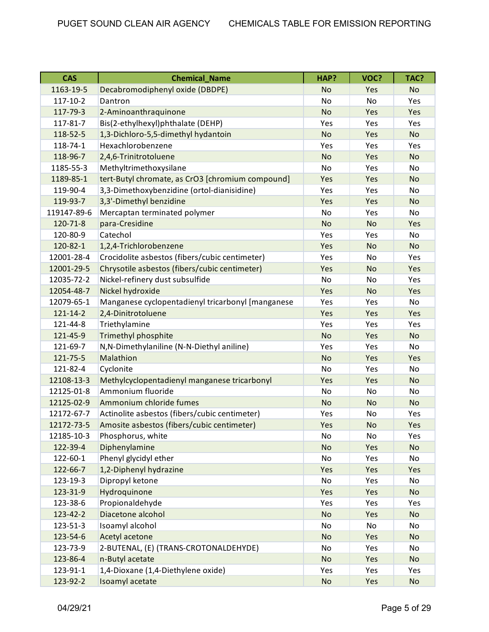| <b>CAS</b>     | <b>Chemical Name</b>                              | HAP?      | VOC?      | TAC?      |
|----------------|---------------------------------------------------|-----------|-----------|-----------|
| 1163-19-5      | Decabromodiphenyl oxide (DBDPE)                   | <b>No</b> | Yes       | <b>No</b> |
| $117 - 10 - 2$ | Dantron                                           | No        | No        | Yes       |
| 117-79-3       | 2-Aminoanthraquinone                              | <b>No</b> | Yes       | Yes       |
| 117-81-7       | Bis(2-ethylhexyl)phthalate (DEHP)                 | Yes       | Yes       | Yes       |
| 118-52-5       | 1,3-Dichloro-5,5-dimethyl hydantoin               | <b>No</b> | Yes       | <b>No</b> |
| 118-74-1       | Hexachlorobenzene                                 | Yes       | Yes       | Yes       |
| 118-96-7       | 2,4,6-Trinitrotoluene                             | <b>No</b> | Yes       | <b>No</b> |
| 1185-55-3      | Methyltrimethoxysilane                            | No        | Yes       | No        |
| 1189-85-1      | tert-Butyl chromate, as CrO3 [chromium compound]  | Yes       | Yes       | <b>No</b> |
| 119-90-4       | 3,3-Dimethoxybenzidine (ortol-dianisidine)        | Yes       | Yes       | <b>No</b> |
| 119-93-7       | 3,3'-Dimethyl benzidine                           | Yes       | Yes       | <b>No</b> |
| 119147-89-6    | Mercaptan terminated polymer                      | No        | Yes       | No        |
| 120-71-8       | para-Cresidine                                    | <b>No</b> | <b>No</b> | Yes       |
| 120-80-9       | Catechol                                          | Yes       | Yes       | No        |
| 120-82-1       | 1,2,4-Trichlorobenzene                            | Yes       | <b>No</b> | <b>No</b> |
| 12001-28-4     | Crocidolite asbestos (fibers/cubic centimeter)    | Yes       | No        | Yes       |
| 12001-29-5     | Chrysotile asbestos (fibers/cubic centimeter)     | Yes       | <b>No</b> | Yes       |
| 12035-72-2     | Nickel-refinery dust subsulfide                   | No        | No        | Yes       |
| 12054-48-7     | Nickel hydroxide                                  | Yes       | <b>No</b> | Yes       |
| 12079-65-1     | Manganese cyclopentadienyl tricarbonyl [manganese | Yes       | Yes       | No        |
| $121 - 14 - 2$ | 2,4-Dinitrotoluene                                | Yes       | Yes       | Yes       |
| 121-44-8       | Triethylamine                                     | Yes       | Yes       | Yes       |
| 121-45-9       | Trimethyl phosphite                               | <b>No</b> | Yes       | <b>No</b> |
| 121-69-7       | N,N-Dimethylaniline (N-N-Diethyl aniline)         | Yes       | Yes       | No        |
| 121-75-5       | Malathion                                         | <b>No</b> | Yes       | Yes       |
| 121-82-4       | Cyclonite                                         | No        | Yes       | No        |
| 12108-13-3     | Methylcyclopentadienyl manganese tricarbonyl      | Yes       | Yes       | <b>No</b> |
| 12125-01-8     | Ammonium fluoride                                 | No        | No        | No        |
| 12125-02-9     | Ammonium chloride fumes                           | <b>No</b> | <b>No</b> | <b>No</b> |
| 12172-67-7     | Actinolite asbestos (fibers/cubic centimeter)     | Yes       | No        | Yes       |
| 12172-73-5     | Amosite asbestos (fibers/cubic centimeter)        | Yes       | No        | Yes       |
| 12185-10-3     | Phosphorus, white                                 | No        | No        | Yes       |
| 122-39-4       | Diphenylamine                                     | <b>No</b> | Yes       | <b>No</b> |
| 122-60-1       | Phenyl glycidyl ether                             | No        | Yes       | No        |
| 122-66-7       | 1,2-Diphenyl hydrazine                            | Yes       | Yes       | Yes       |
| 123-19-3       | Dipropyl ketone                                   | No        | Yes       | No        |
| 123-31-9       | Hydroquinone                                      | Yes       | Yes       | <b>No</b> |
| 123-38-6       | Propionaldehyde                                   | Yes       | Yes       | Yes       |
| 123-42-2       | Diacetone alcohol                                 | <b>No</b> | Yes       | <b>No</b> |
| 123-51-3       | Isoamyl alcohol                                   | No        | No        | No        |
| 123-54-6       | Acetyl acetone                                    | <b>No</b> | Yes       | <b>No</b> |
| 123-73-9       | 2-BUTENAL, (E) (TRANS-CROTONALDEHYDE)             | No        | Yes       | No        |
| 123-86-4       | n-Butyl acetate                                   | <b>No</b> | Yes       | <b>No</b> |
| 123-91-1       | 1,4-Dioxane (1,4-Diethylene oxide)                | Yes       | Yes       | Yes       |
| 123-92-2       | Isoamyl acetate                                   | No        | Yes       | <b>No</b> |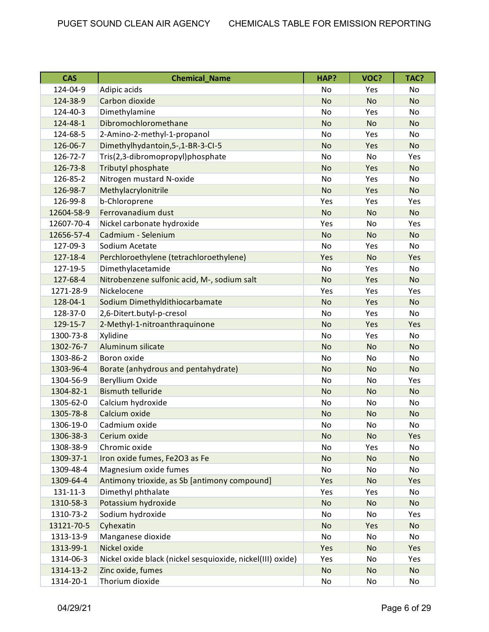| <b>CAS</b> | <b>Chemical_Name</b>                                       | HAP?      | VOC?      | TAC?      |
|------------|------------------------------------------------------------|-----------|-----------|-----------|
| 124-04-9   | Adipic acids                                               | No        | Yes       | No        |
| 124-38-9   | Carbon dioxide                                             | <b>No</b> | <b>No</b> | <b>No</b> |
| 124-40-3   | Dimethylamine                                              | <b>No</b> | Yes       | No        |
| 124-48-1   | Dibromochloromethane                                       | <b>No</b> | <b>No</b> | <b>No</b> |
| 124-68-5   | 2-Amino-2-methyl-1-propanol                                | No        | Yes       | No        |
| 126-06-7   | Dimethylhydantoin, 5-, 1-BR-3-CI-5                         | <b>No</b> | Yes       | <b>No</b> |
| 126-72-7   | Tris(2,3-dibromopropyl)phosphate                           | No        | No        | Yes       |
| 126-73-8   | Tributyl phosphate                                         | <b>No</b> | Yes       | <b>No</b> |
| 126-85-2   | Nitrogen mustard N-oxide                                   | <b>No</b> | Yes       | No        |
| 126-98-7   | Methylacrylonitrile                                        | <b>No</b> | Yes       | <b>No</b> |
| 126-99-8   | b-Chloroprene                                              | Yes       | Yes       | Yes       |
| 12604-58-9 | Ferrovanadium dust                                         | <b>No</b> | <b>No</b> | <b>No</b> |
| 12607-70-4 | Nickel carbonate hydroxide                                 | Yes       | No        | Yes       |
| 12656-57-4 | Cadmium - Selenium                                         | <b>No</b> | <b>No</b> | <b>No</b> |
| 127-09-3   | Sodium Acetate                                             | <b>No</b> | Yes       | No        |
| 127-18-4   | Perchloroethylene (tetrachloroethylene)                    | Yes       | <b>No</b> | Yes       |
| 127-19-5   | Dimethylacetamide                                          | No        | Yes       | No        |
| 127-68-4   | Nitrobenzene sulfonic acid, M-, sodium salt                | <b>No</b> | Yes       | <b>No</b> |
| 1271-28-9  | Nickelocene                                                | Yes       | Yes       | Yes       |
| 128-04-1   | Sodium Dimethyldithiocarbamate                             | <b>No</b> | Yes       | <b>No</b> |
| 128-37-0   | 2,6-Ditert.butyl-p-cresol                                  | <b>No</b> | Yes       | No        |
| 129-15-7   | 2-Methyl-1-nitroanthraquinone                              | <b>No</b> | Yes       | Yes       |
| 1300-73-8  | Xylidine                                                   | No        | Yes       | No        |
| 1302-76-7  | Aluminum silicate                                          | <b>No</b> | <b>No</b> | <b>No</b> |
| 1303-86-2  | Boron oxide                                                | <b>No</b> | No        | <b>No</b> |
| 1303-96-4  | Borate (anhydrous and pentahydrate)                        | <b>No</b> | <b>No</b> | <b>No</b> |
| 1304-56-9  | Beryllium Oxide                                            | No        | No        | Yes       |
| 1304-82-1  | <b>Bismuth telluride</b>                                   | <b>No</b> | <b>No</b> | <b>No</b> |
| 1305-62-0  | Calcium hydroxide                                          | No        | No        | No        |
| 1305-78-8  | Calcium oxide                                              | <b>No</b> | <b>No</b> | <b>No</b> |
| 1306-19-0  | Cadmium oxide                                              | No        | No        | No        |
| 1306-38-3  | Cerium oxide                                               | No        | <b>No</b> | Yes       |
| 1308-38-9  | Chromic oxide                                              | No        | Yes       | No        |
| 1309-37-1  | Iron oxide fumes, Fe2O3 as Fe                              | <b>No</b> | <b>No</b> | <b>No</b> |
| 1309-48-4  | Magnesium oxide fumes                                      | No        | No        | No        |
| 1309-64-4  | Antimony trioxide, as Sb [antimony compound]               | Yes       | <b>No</b> | Yes       |
| 131-11-3   | Dimethyl phthalate                                         | Yes       | Yes       | No        |
| 1310-58-3  | Potassium hydroxide                                        | <b>No</b> | <b>No</b> | <b>No</b> |
| 1310-73-2  | Sodium hydroxide                                           | No        | No        | Yes       |
| 13121-70-5 | Cyhexatin                                                  | No        | Yes       | <b>No</b> |
| 1313-13-9  | Manganese dioxide                                          | No        | No        | No        |
| 1313-99-1  | Nickel oxide                                               | Yes       | <b>No</b> | Yes       |
| 1314-06-3  | Nickel oxide black (nickel sesquioxide, nickel(III) oxide) | Yes       | No        | Yes       |
| 1314-13-2  | Zinc oxide, fumes                                          | <b>No</b> | <b>No</b> | <b>No</b> |
| 1314-20-1  | Thorium dioxide                                            | No        | No        | No        |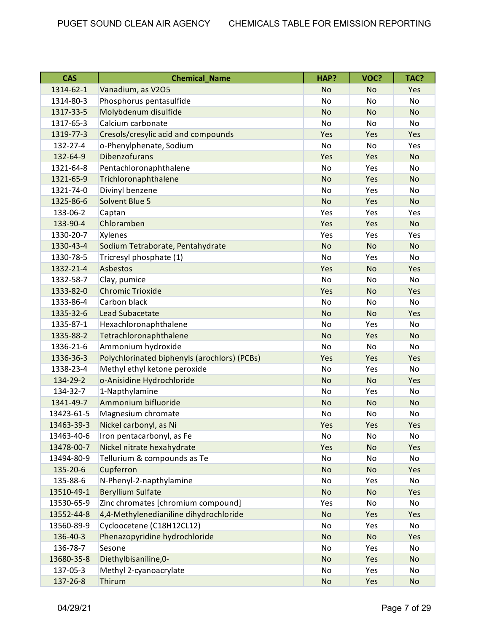| <b>CAS</b> | <b>Chemical Name</b>                         | HAP?      | VOC?      | TAC?      |
|------------|----------------------------------------------|-----------|-----------|-----------|
| 1314-62-1  | Vanadium, as V2O5                            | <b>No</b> | <b>No</b> | Yes       |
| 1314-80-3  | Phosphorus pentasulfide                      | No        | No        | No        |
| 1317-33-5  | Molybdenum disulfide                         | <b>No</b> | <b>No</b> | <b>No</b> |
| 1317-65-3  | Calcium carbonate                            | <b>No</b> | No        | <b>No</b> |
| 1319-77-3  | Cresols/cresylic acid and compounds          | Yes       | Yes       | Yes       |
| 132-27-4   | o-Phenylphenate, Sodium                      | <b>No</b> | <b>No</b> | Yes       |
| 132-64-9   | <b>Dibenzofurans</b>                         | Yes       | Yes       | <b>No</b> |
| 1321-64-8  | Pentachloronaphthalene                       | No        | Yes       | No        |
| 1321-65-9  | Trichloronaphthalene                         | <b>No</b> | Yes       | <b>No</b> |
| 1321-74-0  | Divinyl benzene                              | No        | Yes       | No        |
| 1325-86-6  | <b>Solvent Blue 5</b>                        | <b>No</b> | Yes       | <b>No</b> |
| 133-06-2   | Captan                                       | Yes       | Yes       | Yes       |
| 133-90-4   | Chloramben                                   | Yes       | Yes       | <b>No</b> |
| 1330-20-7  | Xylenes                                      | Yes       | Yes       | Yes       |
| 1330-43-4  | Sodium Tetraborate, Pentahydrate             | <b>No</b> | <b>No</b> | <b>No</b> |
| 1330-78-5  | Tricresyl phosphate (1)                      | No        | Yes       | No        |
| 1332-21-4  | <b>Asbestos</b>                              | Yes       | <b>No</b> | Yes       |
| 1332-58-7  | Clay, pumice                                 | <b>No</b> | <b>No</b> | No        |
| 1333-82-0  | <b>Chromic Trioxide</b>                      | Yes       | <b>No</b> | Yes       |
| 1333-86-4  | Carbon black                                 | No        | No        | No        |
| 1335-32-6  | <b>Lead Subacetate</b>                       | <b>No</b> | <b>No</b> | Yes       |
| 1335-87-1  | Hexachloronaphthalene                        | No        | Yes       | No        |
| 1335-88-2  | Tetrachloronaphthalene                       | <b>No</b> | Yes       | <b>No</b> |
| 1336-21-6  | Ammonium hydroxide                           | <b>No</b> | No        | No        |
| 1336-36-3  | Polychlorinated biphenyls (arochlors) (PCBs) | Yes       | Yes       | Yes       |
| 1338-23-4  | Methyl ethyl ketone peroxide                 | No        | Yes       | No        |
| 134-29-2   | o-Anisidine Hydrochloride                    | <b>No</b> | <b>No</b> | Yes       |
| 134-32-7   | 1-Napthylamine                               | No        | Yes       | No        |
| 1341-49-7  | Ammonium bifluoride                          | <b>No</b> | <b>No</b> | <b>No</b> |
| 13423-61-5 | Magnesium chromate                           | No        | No        | No        |
| 13463-39-3 | Nickel carbonyl, as Ni                       | Yes       | Yes       | Yes       |
| 13463-40-6 | Iron pentacarbonyl, as Fe                    | No        | No        | No        |
| 13478-00-7 | Nickel nitrate hexahydrate                   | Yes       | <b>No</b> | Yes       |
| 13494-80-9 | Tellurium & compounds as Te                  | No        | No        | No        |
| 135-20-6   | Cupferron                                    | <b>No</b> | <b>No</b> | Yes       |
| 135-88-6   | N-Phenyl-2-napthylamine                      | No        | Yes       | No        |
| 13510-49-1 | <b>Beryllium Sulfate</b>                     | <b>No</b> | No        | Yes       |
| 13530-65-9 | Zinc chromates [chromium compound]           | Yes       | No        | No        |
| 13552-44-8 | 4,4-Methylenedianiline dihydrochloride       | <b>No</b> | Yes       | Yes       |
| 13560-89-9 | Cycloocetene (C18H12CL12)                    | No        | Yes       | No        |
| 136-40-3   | Phenazopyridine hydrochloride                | <b>No</b> | <b>No</b> | Yes       |
| 136-78-7   | Sesone                                       | No        | Yes       | No        |
| 13680-35-8 | Diethylbisaniline, 0-                        | <b>No</b> | Yes       | <b>No</b> |
| 137-05-3   | Methyl 2-cyanoacrylate                       | No        | Yes       | No        |
| 137-26-8   | Thirum                                       | <b>No</b> | Yes       | <b>No</b> |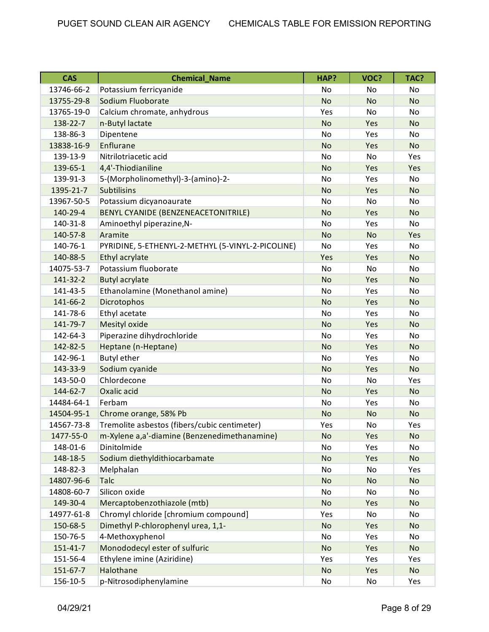| <b>CAS</b>     | <b>Chemical Name</b>                              | HAP?      | VOC?      | TAC?      |
|----------------|---------------------------------------------------|-----------|-----------|-----------|
| 13746-66-2     | Potassium ferricyanide                            | No        | No        | No        |
| 13755-29-8     | Sodium Fluoborate                                 | <b>No</b> | <b>No</b> | <b>No</b> |
| 13765-19-0     | Calcium chromate, anhydrous                       | Yes       | <b>No</b> | No        |
| 138-22-7       | n-Butyl lactate                                   | <b>No</b> | Yes       | <b>No</b> |
| 138-86-3       | Dipentene                                         | No        | Yes       | No        |
| 13838-16-9     | Enflurane                                         | <b>No</b> | Yes       | <b>No</b> |
| 139-13-9       | Nitrilotriacetic acid                             | No        | No        | Yes       |
| 139-65-1       | 4,4'-Thiodianiline                                | <b>No</b> | Yes       | Yes       |
| 139-91-3       | 5-(Morpholinomethyl)-3-(amino)-2-                 | <b>No</b> | Yes       | No        |
| 1395-21-7      | <b>Subtilisins</b>                                | <b>No</b> | Yes       | <b>No</b> |
| 13967-50-5     | Potassium dicyanoaurate                           | <b>No</b> | No        | No        |
| 140-29-4       | BENYL CYANIDE (BENZENEACETONITRILE)               | <b>No</b> | Yes       | <b>No</b> |
| 140-31-8       | Aminoethyl piperazine, N-                         | No        | Yes       | No        |
| 140-57-8       | Aramite                                           | <b>No</b> | <b>No</b> | Yes       |
| 140-76-1       | PYRIDINE, 5-ETHENYL-2-METHYL (5-VINYL-2-PICOLINE) | <b>No</b> | Yes       | No        |
| 140-88-5       | Ethyl acrylate                                    | Yes       | Yes       | <b>No</b> |
| 14075-53-7     | Potassium fluoborate                              | No        | No        | No        |
| 141-32-2       | <b>Butyl acrylate</b>                             | <b>No</b> | Yes       | <b>No</b> |
| 141-43-5       | Ethanolamine (Monethanol amine)                   | No        | Yes       | No        |
| 141-66-2       | Dicrotophos                                       | <b>No</b> | Yes       | <b>No</b> |
| 141-78-6       | Ethyl acetate                                     | No        | Yes       | <b>No</b> |
| 141-79-7       | <b>Mesityl oxide</b>                              | <b>No</b> | Yes       | <b>No</b> |
| 142-64-3       | Piperazine dihydrochloride                        | No        | Yes       | No        |
| 142-82-5       | Heptane (n-Heptane)                               | <b>No</b> | Yes       | <b>No</b> |
| 142-96-1       | <b>Butyl ether</b>                                | No        | Yes       | No        |
| 143-33-9       | Sodium cyanide                                    | <b>No</b> | Yes       | <b>No</b> |
| 143-50-0       | Chlordecone                                       | <b>No</b> | No        | Yes       |
| 144-62-7       | Oxalic acid                                       | <b>No</b> | Yes       | <b>No</b> |
| 14484-64-1     | Ferbam                                            | No        | Yes       | No        |
| 14504-95-1     | Chrome orange, 58% Pb                             | <b>No</b> | <b>No</b> | <b>No</b> |
| 14567-73-8     | Tremolite asbestos (fibers/cubic centimeter)      | Yes       | No        | Yes       |
| 1477-55-0      | m-Xylene a,a'-diamine (Benzenedimethanamine)      | <b>No</b> | Yes       | <b>No</b> |
| 148-01-6       | Dinitolmide                                       | No        | Yes       | No        |
| 148-18-5       | Sodium diethyldithiocarbamate                     | <b>No</b> | Yes       | <b>No</b> |
| 148-82-3       | Melphalan                                         | No        | No        | Yes       |
| 14807-96-6     | Talc                                              | <b>No</b> | No        | <b>No</b> |
| 14808-60-7     | Silicon oxide                                     | No        | No        | No        |
| 149-30-4       | Mercaptobenzothiazole (mtb)                       | <b>No</b> | Yes       | <b>No</b> |
| 14977-61-8     | Chromyl chloride [chromium compound]              | Yes       | No        | No        |
| 150-68-5       | Dimethyl P-chlorophenyl urea, 1,1-                | <b>No</b> | Yes       | <b>No</b> |
| 150-76-5       | 4-Methoxyphenol                                   | No        | Yes       | No        |
| $151 - 41 - 7$ | Monododecyl ester of sulfuric                     | <b>No</b> | Yes       | <b>No</b> |
| 151-56-4       | Ethylene imine (Aziridine)                        | Yes       | Yes       | Yes       |
| 151-67-7       | Halothane                                         | <b>No</b> | Yes       | <b>No</b> |
| 156-10-5       | p-Nitrosodiphenylamine                            | No        | No        | Yes       |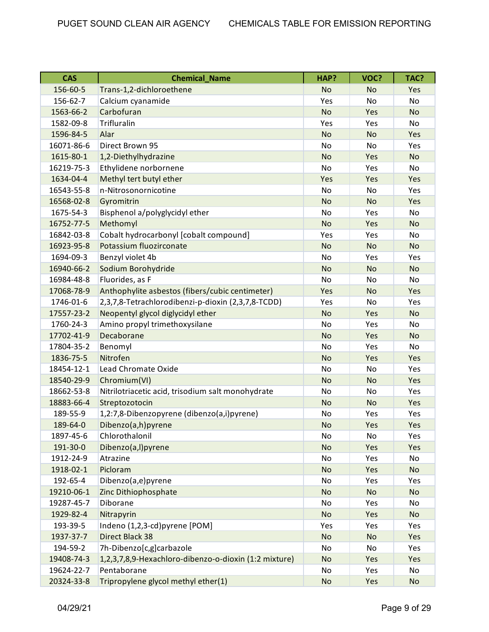| <b>CAS</b> | <b>Chemical_Name</b>                                  | HAP?      | VOC?      | TAC?      |
|------------|-------------------------------------------------------|-----------|-----------|-----------|
| 156-60-5   | Trans-1,2-dichloroethene                              | <b>No</b> | <b>No</b> | Yes       |
| 156-62-7   | Calcium cyanamide                                     | Yes       | No        | <b>No</b> |
| 1563-66-2  | Carbofuran                                            | <b>No</b> | Yes       | <b>No</b> |
| 1582-09-8  | Trifluralin                                           | Yes       | Yes       | No        |
| 1596-84-5  | Alar                                                  | <b>No</b> | <b>No</b> | Yes       |
| 16071-86-6 | Direct Brown 95                                       | No        | No        | Yes       |
| 1615-80-1  | 1,2-Diethylhydrazine                                  | <b>No</b> | Yes       | <b>No</b> |
| 16219-75-3 | Ethylidene norbornene                                 | <b>No</b> | Yes       | No        |
| 1634-04-4  | Methyl tert butyl ether                               | Yes       | Yes       | Yes       |
| 16543-55-8 | n-Nitrosonornicotine                                  | <b>No</b> | No        | Yes       |
| 16568-02-8 | Gyromitrin                                            | <b>No</b> | <b>No</b> | Yes       |
| 1675-54-3  | Bisphenol a/polyglycidyl ether                        | No        | Yes       | No        |
| 16752-77-5 | Methomyl                                              | <b>No</b> | Yes       | <b>No</b> |
| 16842-03-8 | Cobalt hydrocarbonyl [cobalt compound]                | Yes       | Yes       | No        |
| 16923-95-8 | Potassium fluozirconate                               | <b>No</b> | <b>No</b> | <b>No</b> |
| 1694-09-3  | Benzyl violet 4b                                      | No        | Yes       | Yes       |
| 16940-66-2 | Sodium Borohydride                                    | <b>No</b> | <b>No</b> | <b>No</b> |
| 16984-48-8 | Fluorides, as F                                       | <b>No</b> | No        | No        |
| 17068-78-9 | Anthophylite asbestos (fibers/cubic centimeter)       | Yes       | <b>No</b> | Yes       |
| 1746-01-6  | 2,3,7,8-Tetrachlorodibenzi-p-dioxin (2,3,7,8-TCDD)    | Yes       | No        | Yes       |
| 17557-23-2 | Neopentyl glycol diglycidyl ether                     | <b>No</b> | Yes       | <b>No</b> |
| 1760-24-3  | Amino propyl trimethoxysilane                         | No        | Yes       | No        |
| 17702-41-9 | Decaborane                                            | <b>No</b> | Yes       | <b>No</b> |
| 17804-35-2 | Benomyl                                               | No        | Yes       | No        |
| 1836-75-5  | Nitrofen                                              | <b>No</b> | Yes       | Yes       |
| 18454-12-1 | Lead Chromate Oxide                                   | <b>No</b> | No        | Yes       |
| 18540-29-9 | Chromium(VI)                                          | <b>No</b> | <b>No</b> | Yes       |
| 18662-53-8 | Nitrilotriacetic acid, trisodium salt monohydrate     | No        | No        | Yes       |
| 18883-66-4 | Streptozotocin                                        | <b>No</b> | <b>No</b> | Yes       |
| 189-55-9   | 1,2:7,8-Dibenzopyrene (dibenzo(a,i)pyrene)            | No        | Yes       | Yes       |
| 189-64-0   | Dibenzo(a,h)pyrene                                    | <b>No</b> | Yes       | Yes       |
| 1897-45-6  | Chlorothalonil                                        | No        | No        | Yes       |
| 191-30-0   | Dibenzo(a,l)pyrene                                    | <b>No</b> | Yes       | Yes       |
| 1912-24-9  | Atrazine                                              | No        | Yes       | No        |
| 1918-02-1  | Picloram                                              | <b>No</b> | Yes       | <b>No</b> |
| 192-65-4   | Dibenzo(a,e)pyrene                                    | No        | Yes       | Yes       |
| 19210-06-1 | Zinc Dithiophosphate                                  | No        | <b>No</b> | <b>No</b> |
| 19287-45-7 | Diborane                                              | No        | Yes       | No        |
| 1929-82-4  | Nitrapyrin                                            | <b>No</b> | Yes       | <b>No</b> |
| 193-39-5   | Indeno (1,2,3-cd)pyrene [POM]                         | Yes       | Yes       | Yes       |
| 1937-37-7  | <b>Direct Black 38</b>                                | <b>No</b> | <b>No</b> | Yes       |
| 194-59-2   | 7h-Dibenzo[c,g]carbazole                              | No        | No        | Yes       |
| 19408-74-3 | 1,2,3,7,8,9-Hexachloro-dibenzo-o-dioxin (1:2 mixture) | <b>No</b> | Yes       | Yes       |
| 19624-22-7 | Pentaborane                                           | No        | Yes       | No        |
| 20324-33-8 | Tripropylene glycol methyl ether(1)                   | No        | Yes       | <b>No</b> |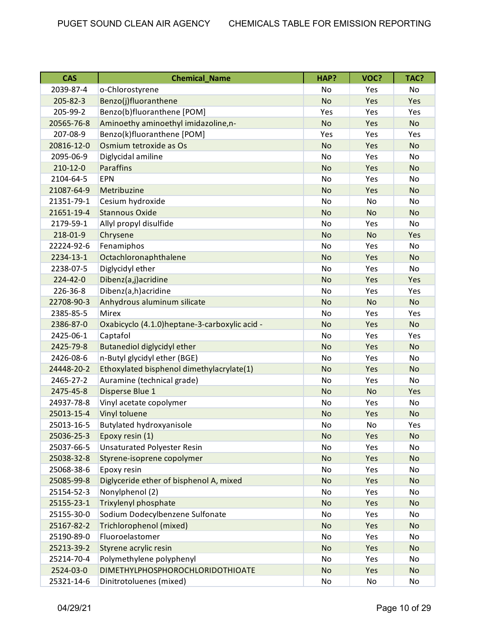| <b>CAS</b>     | <b>Chemical_Name</b>                           | HAP?      | VOC?      | TAC?      |
|----------------|------------------------------------------------|-----------|-----------|-----------|
| 2039-87-4      | o-Chlorostyrene                                | No        | Yes       | <b>No</b> |
| 205-82-3       | Benzo(j)fluoranthene                           | <b>No</b> | Yes       | Yes       |
| 205-99-2       | Benzo(b)fluoranthene [POM]                     | Yes       | Yes       | Yes       |
| 20565-76-8     | Aminoethy aminoethyl imidazoline,n-            | <b>No</b> | Yes       | <b>No</b> |
| 207-08-9       | Benzo(k)fluoranthene [POM]                     | Yes       | Yes       | Yes       |
| 20816-12-0     | Osmium tetroxide as Os                         | <b>No</b> | Yes       | <b>No</b> |
| 2095-06-9      | Diglycidal amiline                             | No        | Yes       | <b>No</b> |
| $210 - 12 - 0$ | <b>Paraffins</b>                               | <b>No</b> | Yes       | <b>No</b> |
| 2104-64-5      | <b>EPN</b>                                     | No        | Yes       | No        |
| 21087-64-9     | Metribuzine                                    | <b>No</b> | Yes       | <b>No</b> |
| 21351-79-1     | Cesium hydroxide                               | No        | No        | No        |
| 21651-19-4     | <b>Stannous Oxide</b>                          | <b>No</b> | <b>No</b> | <b>No</b> |
| 2179-59-1      | Allyl propyl disulfide                         | No        | Yes       | No        |
| 218-01-9       | Chrysene                                       | <b>No</b> | <b>No</b> | Yes       |
| 22224-92-6     | Fenamiphos                                     | No        | Yes       | No        |
| 2234-13-1      | Octachloronaphthalene                          | <b>No</b> | Yes       | <b>No</b> |
| 2238-07-5      | Diglycidyl ether                               | No        | Yes       | No        |
| 224-42-0       | Dibenz(a,j)acridine                            | <b>No</b> | Yes       | Yes       |
| 226-36-8       | Dibenz(a,h)acridine                            | No        | Yes       | Yes       |
| 22708-90-3     | Anhydrous aluminum silicate                    | <b>No</b> | <b>No</b> | <b>No</b> |
| 2385-85-5      | Mirex                                          | No        | Yes       | Yes       |
| 2386-87-0      | Oxabicyclo (4.1.0) heptane-3-carboxylic acid - | <b>No</b> | Yes       | <b>No</b> |
| 2425-06-1      | Captafol                                       | No        | Yes       | Yes       |
| 2425-79-8      | <b>Butanediol diglycidyl ether</b>             | <b>No</b> | Yes       | <b>No</b> |
| 2426-08-6      | n-Butyl glycidyl ether (BGE)                   | No        | Yes       | No        |
| 24448-20-2     | Ethoxylated bisphenol dimethylacrylate(1)      | <b>No</b> | Yes       | <b>No</b> |
| 2465-27-2      | Auramine (technical grade)                     | No        | Yes       | No        |
| 2475-45-8      | Disperse Blue 1                                | <b>No</b> | No        | Yes       |
| 24937-78-8     | Vinyl acetate copolymer                        | No        | Yes       | No        |
| 25013-15-4     | Vinyl toluene                                  | <b>No</b> | Yes       | <b>No</b> |
| 25013-16-5     | Butylated hydroxyanisole                       | No        | No        | Yes       |
| 25036-25-3     | Epoxy resin (1)                                | <b>No</b> | Yes       | <b>No</b> |
| 25037-66-5     | <b>Unsaturated Polyester Resin</b>             | No        | Yes       | No        |
| 25038-32-8     | Styrene-isoprene copolymer                     | <b>No</b> | Yes       | <b>No</b> |
| 25068-38-6     | Epoxy resin                                    | No        | Yes       | No        |
| 25085-99-8     | Diglyceride ether of bisphenol A, mixed        | <b>No</b> | Yes       | <b>No</b> |
| 25154-52-3     | Nonylphenol (2)                                | No        | Yes       | No        |
| 25155-23-1     | Trixylenyl phosphate                           | <b>No</b> | Yes       | <b>No</b> |
| 25155-30-0     | Sodium Dodecylbenzene Sulfonate                | No        | Yes       | No        |
| 25167-82-2     | Trichlorophenol (mixed)                        | <b>No</b> | Yes       | <b>No</b> |
| 25190-89-0     | Fluoroelastomer                                | No        | Yes       | No        |
| 25213-39-2     | Styrene acrylic resin                          | <b>No</b> | Yes       | <b>No</b> |
| 25214-70-4     | Polymethylene polyphenyl                       | No        | Yes       | No        |
| 2524-03-0      | <b>DIMETHYLPHOSPHOROCHLORIDOTHIOATE</b>        | <b>No</b> | Yes       | <b>No</b> |
| 25321-14-6     | Dinitrotoluenes (mixed)                        | No        | No        | No        |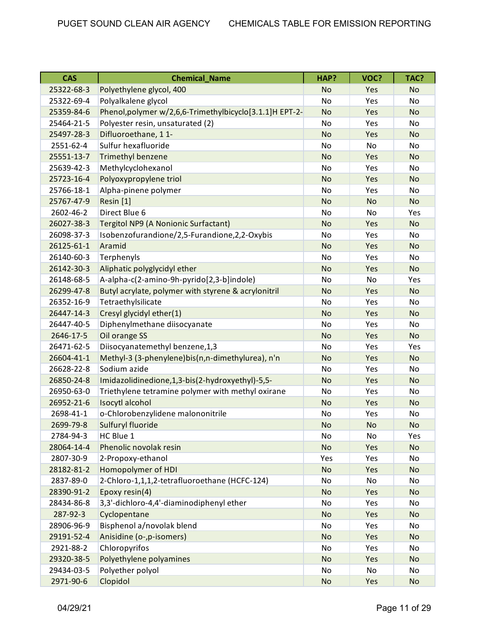| <b>CAS</b> | <b>Chemical_Name</b>                                    | HAP?      | VOC?      | TAC?      |
|------------|---------------------------------------------------------|-----------|-----------|-----------|
| 25322-68-3 | Polyethylene glycol, 400                                | <b>No</b> | Yes       | <b>No</b> |
| 25322-69-4 | Polyalkalene glycol                                     | No        | Yes       | No        |
| 25359-84-6 | Phenol, polymer w/2,6,6-Trimethylbicyclo[3.1.1]H EPT-2- | <b>No</b> | Yes       | <b>No</b> |
| 25464-21-5 | Polyester resin, unsaturated (2)                        | No        | Yes       | No        |
| 25497-28-3 | Difluoroethane, 11-                                     | <b>No</b> | Yes       | <b>No</b> |
| 2551-62-4  | Sulfur hexafluoride                                     | No        | No        | No        |
| 25551-13-7 | <b>Trimethyl benzene</b>                                | <b>No</b> | Yes       | <b>No</b> |
| 25639-42-3 | Methylcyclohexanol                                      | No        | Yes       | No        |
| 25723-16-4 | Polyoxypropylene triol                                  | <b>No</b> | Yes       | <b>No</b> |
| 25766-18-1 | Alpha-pinene polymer                                    | No        | Yes       | No        |
| 25767-47-9 | Resin [1]                                               | <b>No</b> | <b>No</b> | <b>No</b> |
| 2602-46-2  | Direct Blue 6                                           | No        | No        | Yes       |
| 26027-38-3 | Tergitol NP9 (A Nonionic Surfactant)                    | <b>No</b> | Yes       | <b>No</b> |
| 26098-37-3 | Isobenzofurandione/2,5-Furandione,2,2-Oxybis            | No        | Yes       | No        |
| 26125-61-1 | Aramid                                                  | <b>No</b> | Yes       | <b>No</b> |
| 26140-60-3 | Terphenyls                                              | No        | Yes       | No        |
| 26142-30-3 | Aliphatic polyglycidyl ether                            | <b>No</b> | Yes       | <b>No</b> |
| 26148-68-5 | A-alpha-c(2-amino-9h-pyrido[2,3-b]indole)               | No        | No        | Yes       |
| 26299-47-8 | Butyl acrylate, polymer with styrene & acrylonitril     | <b>No</b> | Yes       | <b>No</b> |
| 26352-16-9 | Tetraethylsilicate                                      | No        | Yes       | No        |
| 26447-14-3 | Cresyl glycidyl ether(1)                                | <b>No</b> | Yes       | <b>No</b> |
| 26447-40-5 | Diphenylmethane diisocyanate                            | No        | Yes       | No        |
| 2646-17-5  | Oil orange SS                                           | <b>No</b> | Yes       | <b>No</b> |
| 26471-62-5 | Diisocyanatemethyl benzene, 1,3                         | No        | Yes       | Yes       |
| 26604-41-1 | Methyl-3 (3-phenylene)bis(n,n-dimethylurea), n'n        | <b>No</b> | Yes       | <b>No</b> |
| 26628-22-8 | Sodium azide                                            | No        | Yes       | No        |
| 26850-24-8 | Imidazolidinedione, 1, 3-bis (2-hydroxyethyl)-5, 5-     | <b>No</b> | Yes       | <b>No</b> |
| 26950-63-0 | Triethylene tetramine polymer with methyl oxirane       | No        | Yes       | No        |
| 26952-21-6 | Isocytl alcohol                                         | <b>No</b> | Yes       | <b>No</b> |
| 2698-41-1  | o-Chlorobenzylidene malononitrile                       | No        | Yes       | No        |
| 2699-79-8  | Sulfuryl fluoride                                       | No        | <b>No</b> | No        |
| 2784-94-3  | HC Blue 1                                               | No        | No        | Yes       |
| 28064-14-4 | Phenolic novolak resin                                  | <b>No</b> | Yes       | <b>No</b> |
| 2807-30-9  | 2-Propoxy-ethanol                                       | Yes       | Yes       | No        |
| 28182-81-2 | Homopolymer of HDI                                      | <b>No</b> | Yes       | No        |
| 2837-89-0  | 2-Chloro-1,1,1,2-tetrafluoroethane (HCFC-124)           | No        | No        | No        |
| 28390-91-2 | Epoxy resin(4)                                          | <b>No</b> | Yes       | No        |
| 28434-86-8 | 3,3'-dichloro-4,4'-diaminodiphenyl ether                | No        | Yes       | No        |
| 287-92-3   | Cyclopentane                                            | <b>No</b> | Yes       | No        |
| 28906-96-9 | Bisphenol a/novolak blend                               | No        | Yes       | No        |
| 29191-52-4 | Anisidine (o-,p-isomers)                                | <b>No</b> | Yes       | No        |
| 2921-88-2  | Chloropyrifos                                           | No        | Yes       | No        |
| 29320-38-5 | Polyethylene polyamines                                 | <b>No</b> | Yes       | <b>No</b> |
| 29434-03-5 | Polyether polyol                                        | No        | No        | No        |
| 2971-90-6  | Clopidol                                                | No        | Yes       | No        |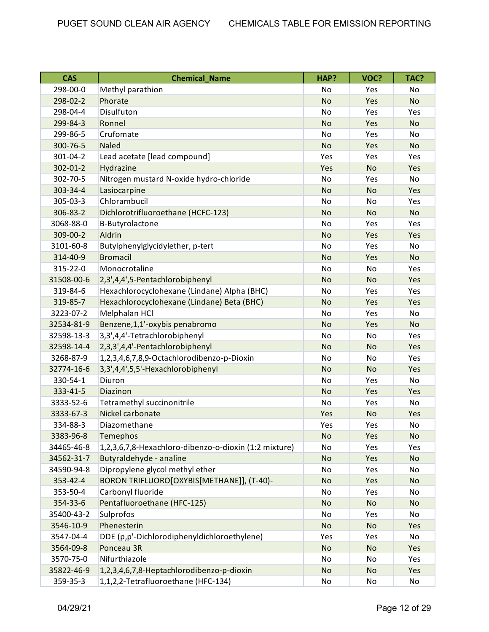| <b>CAS</b>     | <b>Chemical Name</b>                                  | HAP?      | VOC?      | TAC?      |
|----------------|-------------------------------------------------------|-----------|-----------|-----------|
| 298-00-0       | Methyl parathion                                      | No        | Yes       | No        |
| 298-02-2       | Phorate                                               | <b>No</b> | Yes       | <b>No</b> |
| 298-04-4       | Disulfuton                                            | <b>No</b> | Yes       | Yes       |
| 299-84-3       | Ronnel                                                | <b>No</b> | Yes       | <b>No</b> |
| 299-86-5       | Crufomate                                             | No        | Yes       | No        |
| 300-76-5       | <b>Naled</b>                                          | <b>No</b> | Yes       | <b>No</b> |
| 301-04-2       | Lead acetate [lead compound]                          | Yes       | Yes       | Yes       |
| $302 - 01 - 2$ | Hydrazine                                             | Yes       | <b>No</b> | Yes       |
| 302-70-5       | Nitrogen mustard N-oxide hydro-chloride               | <b>No</b> | Yes       | No        |
| 303-34-4       | Lasiocarpine                                          | <b>No</b> | <b>No</b> | Yes       |
| 305-03-3       | Chlorambucil                                          | No        | No        | Yes       |
| 306-83-2       | Dichlorotrifluoroethane (HCFC-123)                    | <b>No</b> | <b>No</b> | <b>No</b> |
| 3068-88-0      | B-Butyrolactone                                       | No        | Yes       | Yes       |
| 309-00-2       | Aldrin                                                | <b>No</b> | Yes       | Yes       |
| 3101-60-8      | Butylphenylglycidylether, p-tert                      | <b>No</b> | Yes       | No        |
| 314-40-9       | <b>Bromacil</b>                                       | <b>No</b> | Yes       | <b>No</b> |
| 315-22-0       | Monocrotaline                                         | No        | No        | Yes       |
| 31508-00-6     | 2,3',4,4',5-Pentachlorobiphenyl                       | <b>No</b> | <b>No</b> | Yes       |
| 319-84-6       | Hexachlorocyclohexane (Lindane) Alpha (BHC)           | No        | Yes       | Yes       |
| 319-85-7       | Hexachlorocyclohexane (Lindane) Beta (BHC)            | <b>No</b> | Yes       | Yes       |
| 3223-07-2      | Melphalan HCl                                         | <b>No</b> | Yes       | No        |
| 32534-81-9     | Benzene,1,1'-oxybis penabromo                         | <b>No</b> | Yes       | <b>No</b> |
| 32598-13-3     | 3,3',4,4'-Tetrachlorobiphenyl                         | No        | No        | Yes       |
| 32598-14-4     | 2,3,3',4,4'-Pentachlorobiphenyl                       | <b>No</b> | <b>No</b> | Yes       |
| 3268-87-9      | 1,2,3,4,6,7,8,9-Octachlorodibenzo-p-Dioxin            | No        | No        | Yes       |
| 32774-16-6     | 3,3',4,4',5,5'-Hexachlorobiphenyl                     | <b>No</b> | <b>No</b> | Yes       |
| 330-54-1       | Diuron                                                | <b>No</b> | Yes       | No        |
| 333-41-5       | Diazinon                                              | <b>No</b> | Yes       | Yes       |
| 3333-52-6      | Tetramethyl succinonitrile                            | No        | Yes       | No        |
| 3333-67-3      | Nickel carbonate                                      | Yes       | <b>No</b> | Yes       |
| 334-88-3       | Diazomethane                                          | Yes       | Yes       | No        |
| 3383-96-8      | Temephos                                              | <b>No</b> | Yes       | <b>No</b> |
| 34465-46-8     | 1,2,3,6,7,8-Hexachloro-dibenzo-o-dioxin (1:2 mixture) | No        | Yes       | Yes       |
| 34562-31-7     | Butyraldehyde - analine                               | <b>No</b> | Yes       | No        |
| 34590-94-8     | Dipropylene glycol methyl ether                       | No        | Yes       | No        |
| 353-42-4       | BORON TRIFLUORO[OXYBIS[METHANE]], (T-40)-             | <b>No</b> | Yes       | <b>No</b> |
| 353-50-4       | Carbonyl fluoride                                     | No        | Yes       | No        |
| 354-33-6       | Pentafluoroethane (HFC-125)                           | <b>No</b> | <b>No</b> | No        |
| 35400-43-2     | Sulprofos                                             | No        | Yes       | No        |
| 3546-10-9      | Phenesterin                                           | <b>No</b> | No        | Yes       |
| 3547-04-4      | DDE (p,p'-Dichlorodiphenyldichloroethylene)           | Yes       | Yes       | No        |
| 3564-09-8      | Ponceau 3R                                            | <b>No</b> | <b>No</b> | Yes       |
| 3570-75-0      | Nifurthiazole                                         | No        | No        | Yes       |
| 35822-46-9     | 1,2,3,4,6,7,8-Heptachlorodibenzo-p-dioxin             | <b>No</b> | No        | Yes       |
| 359-35-3       | 1,1,2,2-Tetrafluoroethane (HFC-134)                   | No        | No        | No        |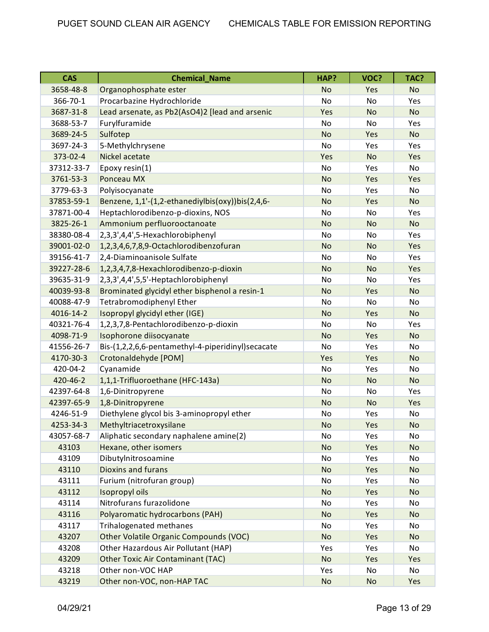| <b>CAS</b> | <b>Chemical_Name</b>                              | HAP?      | VOC?      | TAC?      |
|------------|---------------------------------------------------|-----------|-----------|-----------|
| 3658-48-8  | Organophosphate ester                             | <b>No</b> | Yes       | <b>No</b> |
| 366-70-1   | Procarbazine Hydrochloride                        | <b>No</b> | No        | Yes       |
| 3687-31-8  | Lead arsenate, as Pb2(AsO4)2 [lead and arsenic    | Yes       | <b>No</b> | <b>No</b> |
| 3688-53-7  | Furylfuramide                                     | <b>No</b> | <b>No</b> | Yes       |
| 3689-24-5  | Sulfotep                                          | <b>No</b> | Yes       | <b>No</b> |
| 3697-24-3  | 5-Methylchrysene                                  | No        | Yes       | Yes       |
| 373-02-4   | Nickel acetate                                    | Yes       | <b>No</b> | Yes       |
| 37312-33-7 | Epoxy resin(1)                                    | No        | Yes       | No        |
| 3761-53-3  | Ponceau MX                                        | <b>No</b> | Yes       | Yes       |
| 3779-63-3  | Polyisocyanate                                    | <b>No</b> | Yes       | <b>No</b> |
| 37853-59-1 | Benzene, 1,1'-(1,2-ethanediylbis(oxy))bis(2,4,6-  | <b>No</b> | Yes       | <b>No</b> |
| 37871-00-4 | Heptachlorodibenzo-p-dioxins, NOS                 | No        | No        | Yes       |
| 3825-26-1  | Ammonium perfluorooctanoate                       | <b>No</b> | <b>No</b> | <b>No</b> |
| 38380-08-4 | 2,3,3',4,4',5-Hexachlorobiphenyl                  | <b>No</b> | No        | Yes       |
| 39001-02-0 | 1,2,3,4,6,7,8,9-Octachlorodibenzofuran            | <b>No</b> | <b>No</b> | Yes       |
| 39156-41-7 | 2,4-Diaminoanisole Sulfate                        | No        | No        | Yes       |
| 39227-28-6 | 1,2,3,4,7,8-Hexachlorodibenzo-p-dioxin            | <b>No</b> | <b>No</b> | Yes       |
| 39635-31-9 | 2,3,3',4,4',5,5'-Heptachlorobiphenyl              | No        | No        | Yes       |
| 40039-93-8 | Brominated glycidyl ether bisphenol a resin-1     | <b>No</b> | Yes       | <b>No</b> |
| 40088-47-9 | Tetrabromodiphenyl Ether                          | No        | No        | No        |
| 4016-14-2  | Isopropyl glycidyl ether (IGE)                    | <b>No</b> | Yes       | <b>No</b> |
| 40321-76-4 | 1,2,3,7,8-Pentachlorodibenzo-p-dioxin             | <b>No</b> | <b>No</b> | Yes       |
| 4098-71-9  | Isophorone diisocyanate                           | <b>No</b> | Yes       | <b>No</b> |
| 41556-26-7 | Bis-(1,2,2,6,6-pentamethyl-4-piperidinyl)secacate | No        | Yes       | No        |
| 4170-30-3  | Crotonaldehyde [POM]                              | Yes       | Yes       | <b>No</b> |
| 420-04-2   | Cyanamide                                         | No        | Yes       | No        |
| 420-46-2   | 1,1,1-Trifluoroethane (HFC-143a)                  | <b>No</b> | <b>No</b> | <b>No</b> |
| 42397-64-8 | 1,6-Dinitropyrene                                 | No        | No        | Yes       |
| 42397-65-9 | 1,8-Dinitropyrene                                 | <b>No</b> | <b>No</b> | Yes       |
| 4246-51-9  | Diethylene glycol bis 3-aminopropyl ether         | No        | Yes       | No        |
| 4253-34-3  | Methyltriacetroxysilane                           | <b>No</b> | Yes       | No        |
| 43057-68-7 | Aliphatic secondary naphalene amine(2)            | No        | Yes       | No        |
| 43103      | Hexane, other isomers                             | <b>No</b> | Yes       | <b>No</b> |
| 43109      | Dibutylnitrosoamine                               | No        | Yes       | No        |
| 43110      | Dioxins and furans                                | <b>No</b> | Yes       | <b>No</b> |
| 43111      | Furium (nitrofuran group)                         | No        | Yes       | No        |
| 43112      | Isopropyl oils                                    | <b>No</b> | Yes       | <b>No</b> |
| 43114      | Nitrofurans furazolidone                          | No        | Yes       | No        |
| 43116      | Polyaromatic hydrocarbons (PAH)                   | <b>No</b> | Yes       | <b>No</b> |
| 43117      | Trihalogenated methanes                           | No        | Yes       | No        |
| 43207      | <b>Other Volatile Organic Compounds (VOC)</b>     | <b>No</b> | Yes       | <b>No</b> |
| 43208      | Other Hazardous Air Pollutant (HAP)               | Yes       | Yes       | No        |
| 43209      | <b>Other Toxic Air Contaminant (TAC)</b>          | <b>No</b> | Yes       | Yes       |
| 43218      | Other non-VOC HAP                                 | Yes       | No        | No        |
| 43219      | Other non-VOC, non-HAP TAC                        | No        | No        | Yes       |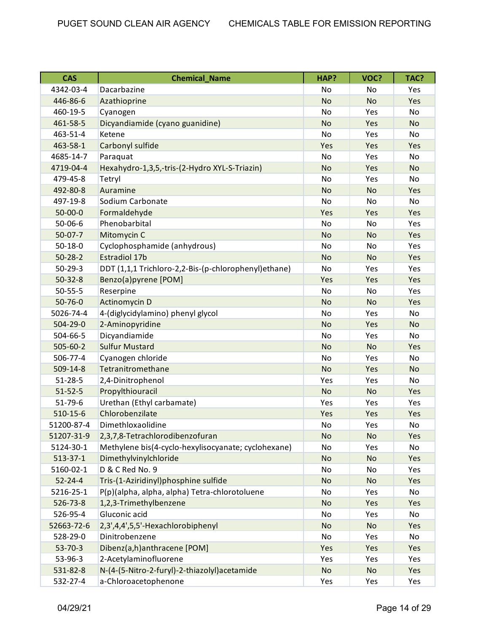| <b>CAS</b>     | <b>Chemical_Name</b>                                 | HAP?      | VOC?      | TAC?      |
|----------------|------------------------------------------------------|-----------|-----------|-----------|
| 4342-03-4      | Dacarbazine                                          | No        | No        | Yes       |
| 446-86-6       | Azathioprine                                         | <b>No</b> | <b>No</b> | Yes       |
| 460-19-5       | Cyanogen                                             | No        | Yes       | No        |
| 461-58-5       | Dicyandiamide (cyano guanidine)                      | <b>No</b> | Yes       | <b>No</b> |
| 463-51-4       | Ketene                                               | No        | Yes       | No        |
| 463-58-1       | Carbonyl sulfide                                     | Yes       | Yes       | Yes       |
| 4685-14-7      | Paraquat                                             | No        | Yes       | No        |
| 4719-04-4      | Hexahydro-1,3,5,-tris-(2-Hydro XYL-S-Triazin)        | <b>No</b> | Yes       | <b>No</b> |
| 479-45-8       | Tetryl                                               | <b>No</b> | Yes       | No        |
| 492-80-8       | Auramine                                             | <b>No</b> | <b>No</b> | Yes       |
| 497-19-8       | Sodium Carbonate                                     | No        | No        | No        |
| $50 - 00 - 0$  | Formaldehyde                                         | Yes       | Yes       | Yes       |
| $50 - 06 - 6$  | Phenobarbital                                        | No        | No        | Yes       |
| $50-07-7$      | Mitomycin C                                          | <b>No</b> | No        | Yes       |
| $50 - 18 - 0$  | Cyclophosphamide (anhydrous)                         | No        | No        | Yes       |
| $50 - 28 - 2$  | <b>Estradiol 17b</b>                                 | <b>No</b> | <b>No</b> | Yes       |
| $50 - 29 - 3$  | DDT (1,1,1 Trichloro-2,2-Bis-(p-chlorophenyl)ethane) | No        | Yes       | Yes       |
| $50 - 32 - 8$  | Benzo(a)pyrene [POM]                                 | Yes       | Yes       | Yes       |
| $50 - 55 - 5$  | Reserpine                                            | <b>No</b> | No        | Yes       |
| $50 - 76 - 0$  | <b>Actinomycin D</b>                                 | <b>No</b> | <b>No</b> | Yes       |
| 5026-74-4      | 4-(diglycidylamino) phenyl glycol                    | No        | Yes       | No        |
| 504-29-0       | 2-Aminopyridine                                      | <b>No</b> | Yes       | <b>No</b> |
| 504-66-5       | Dicyandiamide                                        | No        | Yes       | No        |
| $505 - 60 - 2$ | <b>Sulfur Mustard</b>                                | <b>No</b> | <b>No</b> | Yes       |
| 506-77-4       | Cyanogen chloride                                    | <b>No</b> | Yes       | No        |
| $509 - 14 - 8$ | Tetranitromethane                                    | <b>No</b> | Yes       | <b>No</b> |
| $51 - 28 - 5$  | 2,4-Dinitrophenol                                    | Yes       | Yes       | No        |
| $51 - 52 - 5$  | Propylthiouracil                                     | <b>No</b> | <b>No</b> | Yes       |
| $51 - 79 - 6$  | Urethan (Ethyl carbamate)                            | Yes       | Yes       | Yes       |
| $510-15-6$     | Chlorobenzilate                                      | Yes       | Yes       | Yes       |
| 51200-87-4     | Dimethloxaolidine                                    | No        | Yes       | No        |
| 51207-31-9     | 2,3,7,8-Tetrachlorodibenzofuran                      | No        | No        | Yes       |
| 5124-30-1      | Methylene bis(4-cyclo-hexylisocyanate; cyclohexane)  | No        | Yes       | No        |
| $513 - 37 - 1$ | Dimethylvinylchloride                                | <b>No</b> | No        | Yes       |
| 5160-02-1      | D & C Red No. 9                                      | No        | No        | Yes       |
| $52 - 24 - 4$  | Tris-(1-Aziridinyl)phosphine sulfide                 | <b>No</b> | <b>No</b> | Yes       |
| 5216-25-1      | P(p)(alpha, alpha, alpha) Tetra-chlorotoluene        | No        | Yes       | No        |
| 526-73-8       | 1,2,3-Trimethylbenzene                               | <b>No</b> | Yes       | Yes       |
| 526-95-4       | Gluconic acid                                        | No        | Yes       | No        |
| 52663-72-6     | 2,3',4,4',5,5'-Hexachlorobiphenyl                    | <b>No</b> | No        | Yes       |
| 528-29-0       | Dinitrobenzene                                       | No        | Yes       | No        |
| $53 - 70 - 3$  | Dibenz(a,h)anthracene [POM]                          | Yes       | Yes       | Yes       |
| 53-96-3        | 2-Acetylaminofluorene                                | Yes       | Yes       | Yes       |
| 531-82-8       | N-(4-(5-Nitro-2-furyl)-2-thiazolyl)acetamide         | <b>No</b> | No        | Yes       |
| 532-27-4       | a-Chloroacetophenone                                 | Yes       | Yes       | Yes       |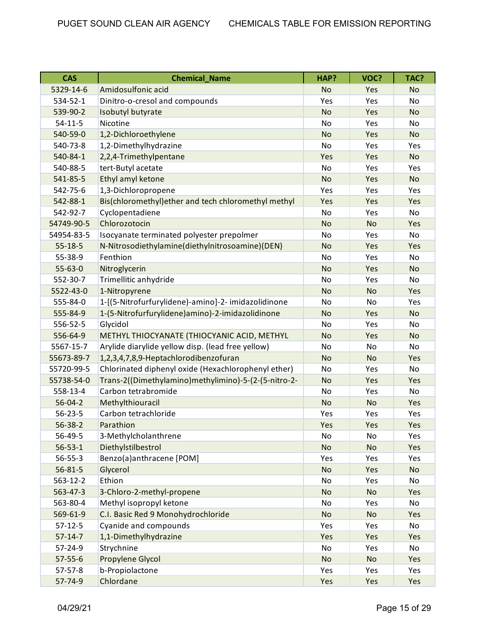| <b>CAS</b>     | <b>Chemical Name</b>                                 | HAP?      | VOC?      | TAC?      |
|----------------|------------------------------------------------------|-----------|-----------|-----------|
| 5329-14-6      | Amidosulfonic acid                                   | <b>No</b> | Yes       | <b>No</b> |
| 534-52-1       | Dinitro-o-cresol and compounds                       | Yes       | Yes       | No.       |
| 539-90-2       | Isobutyl butyrate                                    | <b>No</b> | Yes       | <b>No</b> |
| $54 - 11 - 5$  | Nicotine                                             | No        | Yes       | No        |
| 540-59-0       | 1,2-Dichloroethylene                                 | <b>No</b> | Yes       | <b>No</b> |
| 540-73-8       | 1,2-Dimethylhydrazine                                | No        | Yes       | Yes       |
| 540-84-1       | 2,2,4-Trimethylpentane                               | Yes       | Yes       | <b>No</b> |
| 540-88-5       | tert-Butyl acetate                                   | <b>No</b> | Yes       | Yes       |
| 541-85-5       | Ethyl amyl ketone                                    | <b>No</b> | Yes       | <b>No</b> |
| 542-75-6       | 1,3-Dichloropropene                                  | Yes       | Yes       | Yes       |
| 542-88-1       | Bis(chloromethyl) ether and tech chloromethyl methyl | Yes       | Yes       | Yes       |
| 542-92-7       | Cyclopentadiene                                      | No        | Yes       | No        |
| 54749-90-5     | Chlorozotocin                                        | <b>No</b> | <b>No</b> | Yes       |
| 54954-83-5     | Isocyanate terminated polyester prepolmer            | No        | Yes       | No        |
| $55 - 18 - 5$  | N-Nitrosodiethylamine(diethylnitrosoamine)(DEN)      | <b>No</b> | Yes       | Yes       |
| 55-38-9        | Fenthion                                             | No        | Yes       | No        |
| $55 - 63 - 0$  | Nitroglycerin                                        | <b>No</b> | Yes       | <b>No</b> |
| 552-30-7       | Trimellitic anhydride                                | No        | Yes       | No        |
| 5522-43-0      | 1-Nitropyrene                                        | <b>No</b> | <b>No</b> | Yes       |
| 555-84-0       | 1-[(5-Nitrofurfurylidene)-amino]-2- imidazolidinone  | No        | No        | Yes       |
| 555-84-9       | 1-(5-Nitrofurfurylidene)amino)-2-imidazolidinone     | <b>No</b> | Yes       | <b>No</b> |
| 556-52-5       | Glycidol                                             | <b>No</b> | Yes       | No        |
| 556-64-9       | METHYL THIOCYANATE (THIOCYANIC ACID, METHYL          | <b>No</b> | Yes       | <b>No</b> |
| 5567-15-7      | Arylide diarylide yellow disp. (lead free yellow)    | No        | No        | No        |
| 55673-89-7     | 1,2,3,4,7,8,9-Heptachlorodibenzofuran                | <b>No</b> | <b>No</b> | Yes       |
| 55720-99-5     | Chlorinated diphenyl oxide (Hexachlorophenyl ether)  | No        | Yes       | No        |
| 55738-54-0     | Trans-2((Dimethylamino)methylimino)-5-(2-(5-nitro-2- | <b>No</b> | Yes       | Yes       |
| 558-13-4       | Carbon tetrabromide                                  | No        | Yes       | No        |
| $56 - 04 - 2$  | Methylthiouracil                                     | <b>No</b> | <b>No</b> | Yes       |
| $56 - 23 - 5$  | Carbon tetrachloride                                 | Yes       | Yes       | Yes       |
| $56 - 38 - 2$  | Parathion                                            | Yes       | Yes       | Yes       |
| 56-49-5        | 3-Methylcholanthrene                                 | No        | No        | Yes       |
| $56 - 53 - 1$  | Diethylstilbestrol                                   | <b>No</b> | <b>No</b> | Yes       |
| $56 - 55 - 3$  | Benzo(a)anthracene [POM]                             | Yes       | Yes       | Yes       |
| $56 - 81 - 5$  | Glycerol                                             | <b>No</b> | Yes       | <b>No</b> |
| $563 - 12 - 2$ | Ethion                                               | No        | Yes       | No        |
| 563-47-3       | 3-Chloro-2-methyl-propene                            | <b>No</b> | No        | Yes       |
| 563-80-4       | Methyl isopropyl ketone                              | No        | Yes       | No        |
| 569-61-9       | C.I. Basic Red 9 Monohydrochloride                   | <b>No</b> | No        | Yes       |
| $57 - 12 - 5$  | Cyanide and compounds                                | Yes       | Yes       | No        |
| $57 - 14 - 7$  | 1,1-Dimethylhydrazine                                | Yes       | Yes       | Yes       |
| 57-24-9        | Strychnine                                           | No        | Yes       | No        |
| $57 - 55 - 6$  | Propylene Glycol                                     | <b>No</b> | <b>No</b> | Yes       |
| $57 - 57 - 8$  | b-Propiolactone                                      | Yes       | Yes       | Yes       |
| 57-74-9        | Chlordane                                            | Yes       | Yes       | Yes       |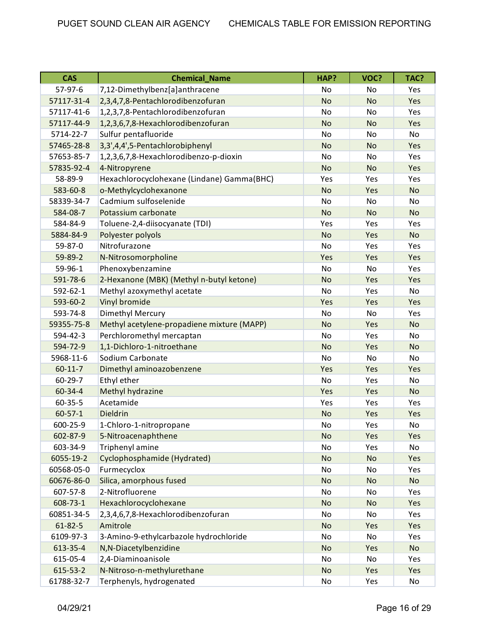| <b>CAS</b>    | <b>Chemical Name</b>                       | HAP?      | VOC?      | TAC?      |
|---------------|--------------------------------------------|-----------|-----------|-----------|
| 57-97-6       | 7,12-Dimethylbenz[a]anthracene             | No        | No        | Yes       |
| 57117-31-4    | 2,3,4,7,8-Pentachlorodibenzofuran          | <b>No</b> | <b>No</b> | Yes       |
| 57117-41-6    | 1,2,3,7,8-Pentachlorodibenzofuran          | No        | No        | Yes       |
| 57117-44-9    | 1,2,3,6,7,8-Hexachlorodibenzofuran         | <b>No</b> | <b>No</b> | Yes       |
| 5714-22-7     | Sulfur pentafluoride                       | No        | No        | No        |
| 57465-28-8    | 3,3',4,4',5-Pentachlorobiphenyl            | <b>No</b> | <b>No</b> | Yes       |
| 57653-85-7    | 1,2,3,6,7,8-Hexachlorodibenzo-p-dioxin     | No        | No        | Yes       |
| 57835-92-4    | 4-Nitropyrene                              | <b>No</b> | <b>No</b> | Yes       |
| 58-89-9       | Hexachlorocyclohexane (Lindane) Gamma(BHC) | Yes       | Yes       | Yes       |
| 583-60-8      | o-Methylcyclohexanone                      | <b>No</b> | Yes       | <b>No</b> |
| 58339-34-7    | Cadmium sulfoselenide                      | No        | No        | No        |
| 584-08-7      | Potassium carbonate                        | <b>No</b> | <b>No</b> | <b>No</b> |
| 584-84-9      | Toluene-2,4-diisocyanate (TDI)             | Yes       | Yes       | Yes       |
| 5884-84-9     | Polyester polyols                          | <b>No</b> | Yes       | <b>No</b> |
| 59-87-0       | Nitrofurazone                              | <b>No</b> | Yes       | Yes       |
| 59-89-2       | N-Nitrosomorpholine                        | Yes       | Yes       | Yes       |
| 59-96-1       | Phenoxybenzamine                           | No        | No        | Yes       |
| 591-78-6      | 2-Hexanone (MBK) (Methyl n-butyl ketone)   | <b>No</b> | Yes       | Yes       |
| 592-62-1      | Methyl azoxymethyl acetate                 | No        | Yes       | No        |
| 593-60-2      | Vinyl bromide                              | Yes       | Yes       | Yes       |
| 593-74-8      | Dimethyl Mercury                           | <b>No</b> | No        | Yes       |
| 59355-75-8    | Methyl acetylene-propadiene mixture (MAPP) | <b>No</b> | Yes       | <b>No</b> |
| 594-42-3      | Perchloromethyl mercaptan                  | No        | Yes       | No        |
| 594-72-9      | 1,1-Dichloro-1-nitroethane                 | <b>No</b> | Yes       | <b>No</b> |
| 5968-11-6     | Sodium Carbonate                           | No        | No        | No        |
| $60 - 11 - 7$ | Dimethyl aminoazobenzene                   | Yes       | Yes       | Yes       |
| 60-29-7       | Ethyl ether                                | No        | Yes       | No        |
| 60-34-4       | Methyl hydrazine                           | Yes       | Yes       | <b>No</b> |
| $60 - 35 - 5$ | Acetamide                                  | Yes       | Yes       | Yes       |
| $60 - 57 - 1$ | <b>Dieldrin</b>                            | <b>No</b> | Yes       | Yes       |
| 600-25-9      | 1-Chloro-1-nitropropane                    | No        | Yes       | No        |
| 602-87-9      | 5-Nitroacenaphthene                        | No        | Yes       | Yes       |
| 603-34-9      | Triphenyl amine                            | No        | Yes       | No        |
| 6055-19-2     | Cyclophosphamide (Hydrated)                | <b>No</b> | No        | Yes       |
| 60568-05-0    | Furmecyclox                                | No        | No        | Yes       |
| 60676-86-0    | Silica, amorphous fused                    | <b>No</b> | <b>No</b> | <b>No</b> |
| 607-57-8      | 2-Nitrofluorene                            | No        | No        | Yes       |
| 608-73-1      | Hexachlorocyclohexane                      | <b>No</b> | <b>No</b> | Yes       |
| 60851-34-5    | 2,3,4,6,7,8-Hexachlorodibenzofuran         | No        | No        | Yes       |
| $61 - 82 - 5$ | Amitrole                                   | No        | Yes       | Yes       |
| 6109-97-3     | 3-Amino-9-ethylcarbazole hydrochloride     | No        | No        | Yes       |
| 613-35-4      | N,N-Diacetylbenzidine                      | <b>No</b> | Yes       | <b>No</b> |
| 615-05-4      | 2,4-Diaminoanisole                         | No        | No        | Yes       |
| 615-53-2      | N-Nitroso-n-methylurethane                 | <b>No</b> | Yes       | Yes       |
| 61788-32-7    | Terphenyls, hydrogenated                   | No        | Yes       | No        |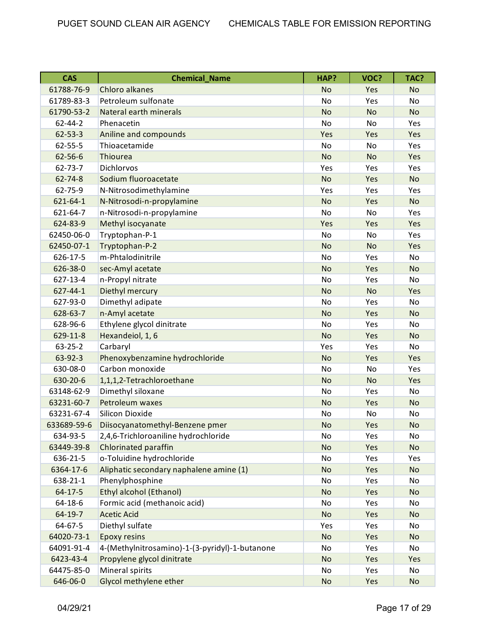| <b>CAS</b>     | <b>Chemical_Name</b>                           | HAP?      | VOC?      | TAC?      |
|----------------|------------------------------------------------|-----------|-----------|-----------|
| 61788-76-9     | Chloro alkanes                                 | <b>No</b> | Yes       | <b>No</b> |
| 61789-83-3     | Petroleum sulfonate                            | <b>No</b> | Yes       | No        |
| 61790-53-2     | Nateral earth minerals                         | <b>No</b> | <b>No</b> | <b>No</b> |
| $62 - 44 - 2$  | Phenacetin                                     | <b>No</b> | No        | Yes       |
| $62 - 53 - 3$  | Aniline and compounds                          | Yes       | Yes       | Yes       |
| $62 - 55 - 5$  | Thioacetamide                                  | <b>No</b> | No        | Yes       |
| 62-56-6        | Thiourea                                       | <b>No</b> | <b>No</b> | Yes       |
| $62 - 73 - 7$  | Dichlorvos                                     | Yes       | Yes       | Yes       |
| $62 - 74 - 8$  | Sodium fluoroacetate                           | <b>No</b> | Yes       | <b>No</b> |
| 62-75-9        | N-Nitrosodimethylamine                         | Yes       | Yes       | Yes       |
| $621 - 64 - 1$ | N-Nitrosodi-n-propylamine                      | <b>No</b> | Yes       | <b>No</b> |
| 621-64-7       | n-Nitrosodi-n-propylamine                      | <b>No</b> | No        | Yes       |
| 624-83-9       | Methyl isocyanate                              | Yes       | Yes       | Yes       |
| 62450-06-0     | Tryptophan-P-1                                 | No        | No        | Yes       |
| 62450-07-1     | Tryptophan-P-2                                 | <b>No</b> | <b>No</b> | Yes       |
| 626-17-5       | m-Phtalodinitrile                              | No        | Yes       | No        |
| 626-38-0       | sec-Amyl acetate                               | <b>No</b> | Yes       | <b>No</b> |
| 627-13-4       | n-Propyl nitrate                               | No        | Yes       | No        |
| $627 - 44 - 1$ | Diethyl mercury                                | <b>No</b> | <b>No</b> | Yes       |
| 627-93-0       | Dimethyl adipate                               | No        | Yes       | No        |
| 628-63-7       | n-Amyl acetate                                 | <b>No</b> | Yes       | <b>No</b> |
| 628-96-6       | Ethylene glycol dinitrate                      | No        | Yes       | No        |
| 629-11-8       | Hexandeiol, 1, 6                               | <b>No</b> | Yes       | <b>No</b> |
| $63 - 25 - 2$  | Carbaryl                                       | Yes       | Yes       | No        |
| 63-92-3        | Phenoxybenzamine hydrochloride                 | <b>No</b> | Yes       | Yes       |
| 630-08-0       | Carbon monoxide                                | No        | No        | Yes       |
| 630-20-6       | 1,1,1,2-Tetrachloroethane                      | <b>No</b> | <b>No</b> | Yes       |
| 63148-62-9     | Dimethyl siloxane                              | No        | Yes       | No        |
| 63231-60-7     | Petroleum waxes                                | <b>No</b> | Yes       | <b>No</b> |
| 63231-67-4     | Silicon Dioxide                                | No        | No        | No        |
| 633689-59-6    | Diisocyanatomethyl-Benzene pmer                | No        | Yes       | No        |
| 634-93-5       | 2,4,6-Trichloroaniline hydrochloride           | No        | Yes       | No        |
| 63449-39-8     | Chlorinated paraffin                           | <b>No</b> | Yes       | <b>No</b> |
| 636-21-5       | o-Toluidine hydrochloride                      | No        | Yes       | Yes       |
| 6364-17-6      | Aliphatic secondary naphalene amine (1)        | <b>No</b> | Yes       | <b>No</b> |
| 638-21-1       | Phenylphosphine                                | No        | Yes       | No        |
| $64 - 17 - 5$  | Ethyl alcohol (Ethanol)                        | <b>No</b> | Yes       | <b>No</b> |
| 64-18-6        | Formic acid (methanoic acid)                   | No        | Yes       | No        |
| $64-19-7$      | <b>Acetic Acid</b>                             | <b>No</b> | Yes       | <b>No</b> |
| 64-67-5        | Diethyl sulfate                                | Yes       | Yes       | No        |
| 64020-73-1     | <b>Epoxy resins</b>                            | <b>No</b> | Yes       | <b>No</b> |
| 64091-91-4     | 4-(Methylnitrosamino)-1-(3-pyridyl)-1-butanone | No        | Yes       | No        |
| 6423-43-4      | Propylene glycol dinitrate                     | <b>No</b> | Yes       | Yes       |
| 64475-85-0     | Mineral spirits                                | No        | Yes       | No        |
| 646-06-0       | Glycol methylene ether                         | <b>No</b> | Yes       | <b>No</b> |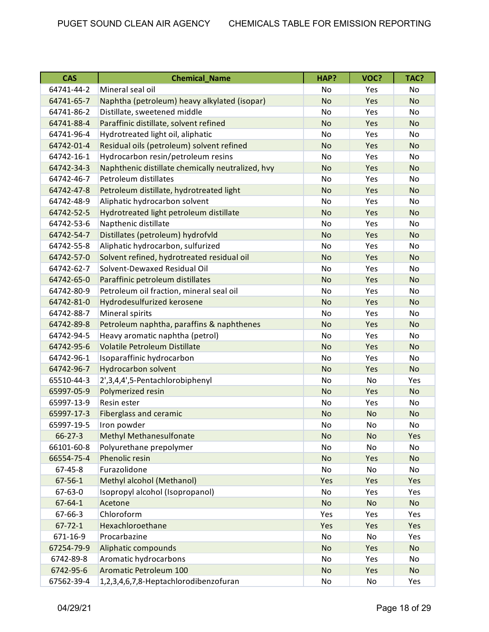| <b>CAS</b>    | <b>Chemical Name</b>                              | HAP?      | VOC?      | TAC?      |
|---------------|---------------------------------------------------|-----------|-----------|-----------|
| 64741-44-2    | Mineral seal oil                                  | No        | Yes       | No        |
| 64741-65-7    | Naphtha (petroleum) heavy alkylated (isopar)      | <b>No</b> | Yes       | <b>No</b> |
| 64741-86-2    | Distillate, sweetened middle                      | No        | Yes       | No        |
| 64741-88-4    | Paraffinic distillate, solvent refined            | <b>No</b> | Yes       | <b>No</b> |
| 64741-96-4    | Hydrotreated light oil, aliphatic                 | <b>No</b> | Yes       | No.       |
| 64742-01-4    | Residual oils (petroleum) solvent refined         | <b>No</b> | Yes       | <b>No</b> |
| 64742-16-1    | Hydrocarbon resin/petroleum resins                | No        | Yes       | No        |
| 64742-34-3    | Naphthenic distillate chemically neutralized, hvy | <b>No</b> | Yes       | <b>No</b> |
| 64742-46-7    | Petroleum distillates                             | No        | Yes       | No        |
| 64742-47-8    | Petroleum distillate, hydrotreated light          | <b>No</b> | Yes       | <b>No</b> |
| 64742-48-9    | Aliphatic hydrocarbon solvent                     | No        | Yes       | No.       |
| 64742-52-5    | Hydrotreated light petroleum distillate           | <b>No</b> | Yes       | <b>No</b> |
| 64742-53-6    | Napthenic distillate                              | No        | Yes       | No        |
| 64742-54-7    | Distillates (petroleum) hydrofvld                 | <b>No</b> | Yes       | <b>No</b> |
| 64742-55-8    | Aliphatic hydrocarbon, sulfurized                 | No        | Yes       | No        |
| 64742-57-0    | Solvent refined, hydrotreated residual oil        | <b>No</b> | Yes       | <b>No</b> |
| 64742-62-7    | Solvent-Dewaxed Residual Oil                      | No        | Yes       | No        |
| 64742-65-0    | Paraffinic petroleum distillates                  | No        | Yes       | <b>No</b> |
| 64742-80-9    | Petroleum oil fraction, mineral seal oil          | No        | Yes       | No        |
| 64742-81-0    | Hydrodesulfurized kerosene                        | <b>No</b> | Yes       | <b>No</b> |
| 64742-88-7    | Mineral spirits                                   | No        | Yes       | No        |
| 64742-89-8    | Petroleum naphtha, paraffins & naphthenes         | <b>No</b> | Yes       | <b>No</b> |
| 64742-94-5    | Heavy aromatic naphtha (petrol)                   | <b>No</b> | Yes       | No.       |
| 64742-95-6    | <b>Volatile Petroleum Distillate</b>              | <b>No</b> | Yes       | <b>No</b> |
| 64742-96-1    | Isoparaffinic hydrocarbon                         | No        | Yes       | No        |
| 64742-96-7    | <b>Hydrocarbon solvent</b>                        | <b>No</b> | Yes       | <b>No</b> |
| 65510-44-3    | 2',3,4,4',5-Pentachlorobiphenyl                   | No        | No        | Yes       |
| 65997-05-9    | Polymerized resin                                 | <b>No</b> | Yes       | <b>No</b> |
| 65997-13-9    | Resin ester                                       | No        | Yes       | No        |
| 65997-17-3    | <b>Fiberglass and ceramic</b>                     | <b>No</b> | <b>No</b> | <b>No</b> |
| 65997-19-5    | Iron powder                                       | No        | No        | No        |
| $66 - 27 - 3$ | <b>Methyl Methanesulfonate</b>                    | No        | <b>No</b> | Yes       |
| 66101-60-8    | Polyurethane prepolymer                           | No        | No        | No        |
| 66554-75-4    | Phenolic resin                                    | <b>No</b> | Yes       | <b>No</b> |
| 67-45-8       | Furazolidone                                      | No        | No        | No        |
| $67 - 56 - 1$ | Methyl alcohol (Methanol)                         | Yes       | Yes       | Yes       |
| 67-63-0       | Isopropyl alcohol (Isopropanol)                   | No        | Yes       | Yes       |
| $67 - 64 - 1$ | Acetone                                           | <b>No</b> | <b>No</b> | <b>No</b> |
| 67-66-3       | Chloroform                                        | Yes       | Yes       | Yes       |
| $67 - 72 - 1$ | Hexachloroethane                                  | Yes       | Yes       | Yes       |
| 671-16-9      | Procarbazine                                      | No        | No        | Yes       |
| 67254-79-9    | Aliphatic compounds                               | <b>No</b> | Yes       | <b>No</b> |
| 6742-89-8     | Aromatic hydrocarbons                             | No        | Yes       | No        |
| 6742-95-6     | Aromatic Petroleum 100                            | <b>No</b> | Yes       | No        |
| 67562-39-4    | 1,2,3,4,6,7,8-Heptachlorodibenzofuran             | No        | No        | Yes       |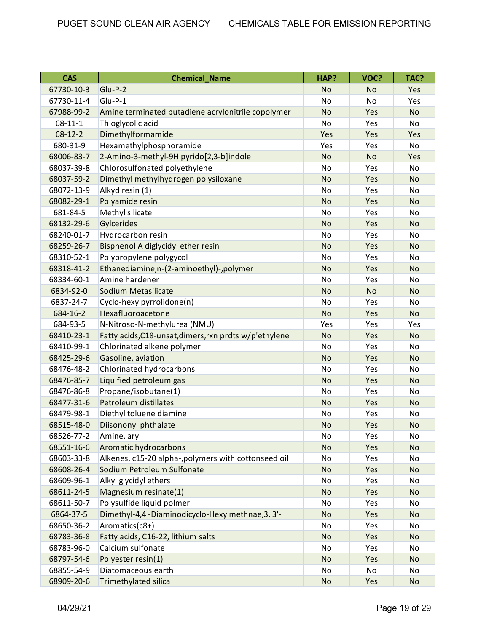| <b>CAS</b>    | <b>Chemical_Name</b>                                   | HAP?      | VOC?      | TAC?      |
|---------------|--------------------------------------------------------|-----------|-----------|-----------|
| 67730-10-3    | Glu-P-2                                                | <b>No</b> | No        | Yes       |
| 67730-11-4    | Glu-P-1                                                | No        | No        | Yes       |
| 67988-99-2    | Amine terminated butadiene acrylonitrile copolymer     | <b>No</b> | Yes       | <b>No</b> |
| $68 - 11 - 1$ | Thioglycolic acid                                      | No        | Yes       | <b>No</b> |
| $68 - 12 - 2$ | Dimethylformamide                                      | Yes       | Yes       | Yes       |
| 680-31-9      | Hexamethylphosphoramide                                | Yes       | Yes       | No        |
| 68006-83-7    | 2-Amino-3-methyl-9H pyrido[2,3-b]indole                | <b>No</b> | <b>No</b> | Yes       |
| 68037-39-8    | Chlorosulfonated polyethylene                          | No        | Yes       | No        |
| 68037-59-2    | Dimethyl methylhydrogen polysiloxane                   | <b>No</b> | Yes       | <b>No</b> |
| 68072-13-9    | Alkyd resin (1)                                        | No        | Yes       | No        |
| 68082-29-1    | Polyamide resin                                        | <b>No</b> | Yes       | <b>No</b> |
| 681-84-5      | Methyl silicate                                        | No        | Yes       | No        |
| 68132-29-6    | Gylcerides                                             | <b>No</b> | Yes       | <b>No</b> |
| 68240-01-7    | Hydrocarbon resin                                      | No        | Yes       | No        |
| 68259-26-7    | Bisphenol A diglycidyl ether resin                     | <b>No</b> | Yes       | <b>No</b> |
| 68310-52-1    | Polypropylene polygycol                                | No        | Yes       | No        |
| 68318-41-2    | Ethanediamine,n-(2-aminoethyl)-,polymer                | <b>No</b> | Yes       | <b>No</b> |
| 68334-60-1    | Amine hardener                                         | No        | Yes       | No        |
| 6834-92-0     | Sodium Metasilicate                                    | <b>No</b> | <b>No</b> | <b>No</b> |
| 6837-24-7     | Cyclo-hexylpyrrolidone(n)                              | No        | Yes       | No        |
| 684-16-2      | Hexafluoroacetone                                      | <b>No</b> | Yes       | <b>No</b> |
| 684-93-5      | N-Nitroso-N-methylurea (NMU)                           | Yes       | Yes       | Yes       |
| 68410-23-1    | Fatty acids, C18-unsat, dimers, rxn prdts w/p'ethylene | <b>No</b> | Yes       | <b>No</b> |
| 68410-99-1    | Chlorinated alkene polymer                             | No        | Yes       | No        |
| 68425-29-6    | Gasoline, aviation                                     | <b>No</b> | Yes       | <b>No</b> |
| 68476-48-2    | Chlorinated hydrocarbons                               | No        | Yes       | No        |
| 68476-85-7    | Liquified petroleum gas                                | <b>No</b> | Yes       | <b>No</b> |
| 68476-86-8    | Propane/isobutane(1)                                   | No        | Yes       | No        |
| 68477-31-6    | Petroleum distillates                                  | <b>No</b> | Yes       | <b>No</b> |
| 68479-98-1    | Diethyl toluene diamine                                | No        | Yes       | No        |
| 68515-48-0    | Diisononyl phthalate                                   | <b>No</b> | Yes       | No        |
| 68526-77-2    | Amine, aryl                                            | No        | Yes       | No        |
| 68551-16-6    | Aromatic hydrocarbons                                  | <b>No</b> | Yes       | <b>No</b> |
| 68603-33-8    | Alkenes, c15-20 alpha-, polymers with cottonseed oil   | No        | Yes       | No        |
| 68608-26-4    | Sodium Petroleum Sulfonate                             | <b>No</b> | Yes       | <b>No</b> |
| 68609-96-1    | Alkyl glycidyl ethers                                  | No        | Yes       | No        |
| 68611-24-5    | Magnesium resinate(1)                                  | No        | Yes       | <b>No</b> |
| 68611-50-7    | Polysulfide liquid polmer                              | No        | Yes       | No        |
| 6864-37-5     | Dimethyl-4,4 -Diaminodicyclo-Hexylmethnae, 3, 3'-      | <b>No</b> | Yes       | <b>No</b> |
| 68650-36-2    | Aromatics(c8+)                                         | No        | Yes       | No        |
| 68783-36-8    | Fatty acids, C16-22, lithium salts                     | <b>No</b> | Yes       | <b>No</b> |
| 68783-96-0    | Calcium sulfonate                                      | No        | Yes       | No        |
| 68797-54-6    | Polyester resin(1)                                     | No        | Yes       | <b>No</b> |
| 68855-54-9    | Diatomaceous earth                                     | No        | No        | No        |
| 68909-20-6    | Trimethylated silica                                   | <b>No</b> | Yes       | <b>No</b> |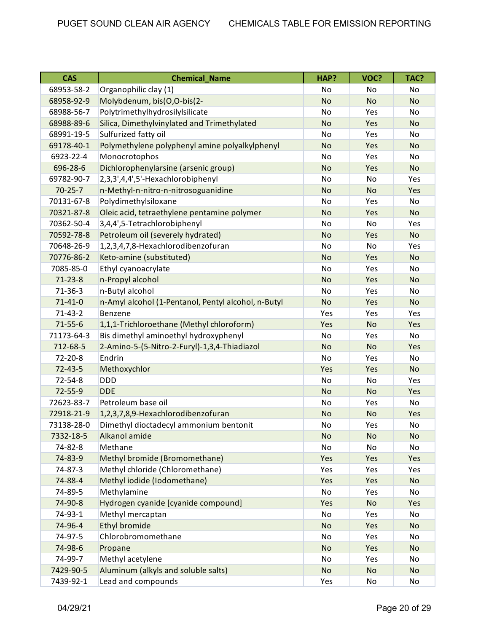| <b>CAS</b>    | <b>Chemical_Name</b>                                | HAP?      | VOC?      | TAC?                         |
|---------------|-----------------------------------------------------|-----------|-----------|------------------------------|
| 68953-58-2    | Organophilic clay (1)                               | No        | No        | No                           |
| 68958-92-9    | Molybdenum, bis(O,O-bis(2-                          | <b>No</b> | <b>No</b> | <b>No</b>                    |
| 68988-56-7    | Polytrimethylhydrosilylsilicate                     | No        | Yes       | No                           |
| 68988-89-6    | Silica, Dimethylvinylated and Trimethylated         | <b>No</b> | Yes       | <b>No</b>                    |
| 68991-19-5    | Sulfurized fatty oil                                | No        | Yes       | No.                          |
| 69178-40-1    | Polymethylene polyphenyl amine polyalkylphenyl      | <b>No</b> | Yes       | <b>No</b>                    |
| 6923-22-4     | Monocrotophos                                       | No        | Yes       | No                           |
| 696-28-6      | Dichlorophenylarsine (arsenic group)                | <b>No</b> | Yes       | <b>No</b>                    |
| 69782-90-7    | 2,3,3',4,4',5'-Hexachlorobiphenyl                   | <b>No</b> | No        | Yes                          |
| $70 - 25 - 7$ | n-Methyl-n-nitro-n-nitrosoguanidine                 | <b>No</b> | <b>No</b> | Yes                          |
| 70131-67-8    | Polydimethylsiloxane                                | No        | Yes       | No                           |
| 70321-87-8    | Oleic acid, tetraethylene pentamine polymer         | <b>No</b> | Yes       | <b>No</b>                    |
| 70362-50-4    | 3,4,4',5-Tetrachlorobiphenyl                        | No        | No        | Yes                          |
| 70592-78-8    | Petroleum oil (severely hydrated)                   | <b>No</b> | Yes       | <b>No</b>                    |
| 70648-26-9    | 1,2,3,4,7,8-Hexachlorodibenzofuran                  | <b>No</b> | No        | Yes                          |
| 70776-86-2    | Keto-amine (substituted)                            | <b>No</b> | Yes       | <b>No</b>                    |
| 7085-85-0     | Ethyl cyanoacrylate                                 | No        | Yes       | No                           |
| $71 - 23 - 8$ | n-Propyl alcohol                                    | <b>No</b> | Yes       | <b>No</b>                    |
| $71 - 36 - 3$ | n-Butyl alcohol                                     | No        | Yes       | No                           |
| $71 - 41 - 0$ | n-Amyl alcohol (1-Pentanol, Pentyl alcohol, n-Butyl | <b>No</b> | Yes       | <b>No</b>                    |
| $71 - 43 - 2$ | Benzene                                             | Yes       | Yes       | Yes                          |
| $71 - 55 - 6$ | 1,1,1-Trichloroethane (Methyl chloroform)           | Yes       | <b>No</b> | Yes                          |
| 71173-64-3    | Bis dimethyl aminoethyl hydroxyphenyl               | No        | Yes       | No                           |
| 712-68-5      | 2-Amino-5-(5-Nitro-2-Furyl)-1,3,4-Thiadiazol        | <b>No</b> | <b>No</b> | Yes                          |
| $72 - 20 - 8$ | Endrin                                              | No        | Yes       | No                           |
| $72 - 43 - 5$ | Methoxychlor                                        | Yes       | Yes       | <b>No</b>                    |
| $72 - 54 - 8$ | <b>DDD</b>                                          | No        | No        | Yes                          |
| 72-55-9       | <b>DDE</b>                                          | <b>No</b> | <b>No</b> | Yes                          |
| 72623-83-7    | Petroleum base oil                                  | No        | Yes       | No                           |
| 72918-21-9    | 1,2,3,7,8,9-Hexachlorodibenzofuran                  | <b>No</b> | <b>No</b> | Yes                          |
| 73138-28-0    | Dimethyl dioctadecyl ammonium bentonit              | No        | Yes       | $\operatorname{\mathsf{No}}$ |
| 7332-18-5     | Alkanol amide                                       | <b>No</b> | No        | No                           |
| 74-82-8       | Methane                                             | No        | No        | No                           |
| 74-83-9       | Methyl bromide (Bromomethane)                       | Yes       | Yes       | Yes                          |
| 74-87-3       | Methyl chloride (Chloromethane)                     | Yes       | Yes       | Yes                          |
| 74-88-4       | Methyl iodide (Iodomethane)                         | Yes       | Yes       | <b>No</b>                    |
| 74-89-5       | Methylamine                                         | No        | Yes       | No                           |
| 74-90-8       | Hydrogen cyanide [cyanide compound]                 | Yes       | <b>No</b> | Yes                          |
| 74-93-1       | Methyl mercaptan                                    | No        | Yes       | No                           |
| 74-96-4       | <b>Ethyl bromide</b>                                | <b>No</b> | Yes       | <b>No</b>                    |
| 74-97-5       | Chlorobromomethane                                  | No        | Yes       | No                           |
| 74-98-6       | Propane                                             | <b>No</b> | Yes       | <b>No</b>                    |
| 74-99-7       | Methyl acetylene                                    | No        | Yes       | No                           |
| 7429-90-5     | Aluminum (alkyls and soluble salts)                 | <b>No</b> | <b>No</b> | <b>No</b>                    |
| 7439-92-1     | Lead and compounds                                  | Yes       | No        | No                           |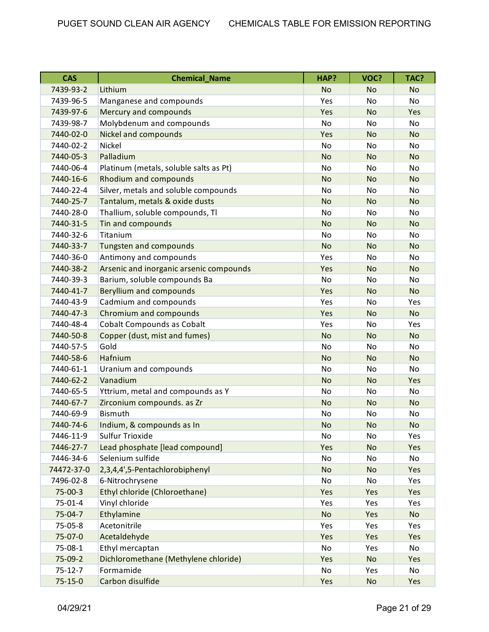| <b>CAS</b>    | <b>Chemical_Name</b>                    | HAP?      | VOC?      | TAC?      |
|---------------|-----------------------------------------|-----------|-----------|-----------|
| 7439-93-2     | Lithium                                 | <b>No</b> | <b>No</b> | <b>No</b> |
| 7439-96-5     | Manganese and compounds                 | Yes       | No        | <b>No</b> |
| 7439-97-6     | Mercury and compounds                   | Yes       | <b>No</b> | Yes       |
| 7439-98-7     | Molybdenum and compounds                | <b>No</b> | No        | <b>No</b> |
| 7440-02-0     | Nickel and compounds                    | Yes       | <b>No</b> | <b>No</b> |
| 7440-02-2     | Nickel                                  | <b>No</b> | No        | No        |
| 7440-05-3     | Palladium                               | <b>No</b> | <b>No</b> | <b>No</b> |
| 7440-06-4     | Platinum (metals, soluble salts as Pt)  | No        | No        | <b>No</b> |
| 7440-16-6     | Rhodium and compounds                   | <b>No</b> | <b>No</b> | <b>No</b> |
| 7440-22-4     | Silver, metals and soluble compounds    | <b>No</b> | No        | <b>No</b> |
| 7440-25-7     | Tantalum, metals & oxide dusts          | <b>No</b> | <b>No</b> | <b>No</b> |
| 7440-28-0     | Thallium, soluble compounds, Tl         | <b>No</b> | <b>No</b> | No        |
| 7440-31-5     | Tin and compounds                       | <b>No</b> | <b>No</b> | <b>No</b> |
| 7440-32-6     | Titanium                                | No        | No        | No        |
| 7440-33-7     | Tungsten and compounds                  | <b>No</b> | <b>No</b> | <b>No</b> |
| 7440-36-0     | Antimony and compounds                  | Yes       | No        | <b>No</b> |
| 7440-38-2     | Arsenic and inorganic arsenic compounds | Yes       | <b>No</b> | <b>No</b> |
| 7440-39-3     | Barium, soluble compounds Ba            | <b>No</b> | <b>No</b> | No        |
| 7440-41-7     | <b>Beryllium and compounds</b>          | Yes       | <b>No</b> | <b>No</b> |
| 7440-43-9     | Cadmium and compounds                   | Yes       | No        | Yes       |
| 7440-47-3     | Chromium and compounds                  | Yes       | <b>No</b> | <b>No</b> |
| 7440-48-4     | <b>Cobalt Compounds as Cobalt</b>       | Yes       | No        | Yes       |
| 7440-50-8     | Copper (dust, mist and fumes)           | <b>No</b> | <b>No</b> | <b>No</b> |
| 7440-57-5     | Gold                                    | No        | No        | No        |
| 7440-58-6     | Hafnium                                 | <b>No</b> | <b>No</b> | <b>No</b> |
| 7440-61-1     | Uranium and compounds                   | <b>No</b> | No        | No        |
| 7440-62-2     | Vanadium                                | <b>No</b> | <b>No</b> | Yes       |
| 7440-65-5     | Yttrium, metal and compounds as Y       | No        | No        | No        |
| 7440-67-7     | Zirconium compounds. as Zr              | <b>No</b> | <b>No</b> | <b>No</b> |
| 7440-69-9     | <b>Bismuth</b>                          | No        | No        | No        |
| 7440-74-6     | Indium, & compounds as In               | <b>No</b> | <b>No</b> | No        |
| 7446-11-9     | <b>Sulfur Trioxide</b>                  | No        | No        | Yes       |
| 7446-27-7     | Lead phosphate [lead compound]          | Yes       | <b>No</b> | Yes       |
| 7446-34-6     | Selenium sulfide                        | No        | No        | No        |
| 74472-37-0    | 2,3,4,4',5-Pentachlorobiphenyl          | <b>No</b> | <b>No</b> | Yes       |
| 7496-02-8     | 6-Nitrochrysene                         | No        | No        | Yes       |
| 75-00-3       | Ethyl chloride (Chloroethane)           | Yes       | Yes       | Yes       |
| 75-01-4       | Vinyl chloride                          | Yes       | Yes       | Yes       |
| 75-04-7       | Ethylamine                              | <b>No</b> | Yes       | <b>No</b> |
| 75-05-8       | Acetonitrile                            | Yes       | Yes       | Yes       |
| 75-07-0       | Acetaldehyde                            | Yes       | Yes       | Yes       |
| 75-08-1       | Ethyl mercaptan                         | No        | Yes       | No        |
| 75-09-2       | Dichloromethane (Methylene chloride)    | Yes       | <b>No</b> | Yes       |
| $75 - 12 - 7$ | Formamide                               | No        | Yes       | No        |
| $75 - 15 - 0$ | Carbon disulfide                        | Yes       | <b>No</b> | Yes       |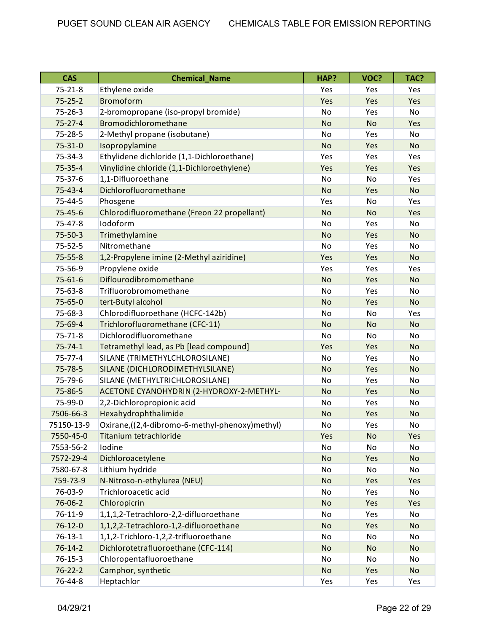| <b>CAS</b>    | <b>Chemical_Name</b>                           | HAP?      | VOC?      | TAC?      |
|---------------|------------------------------------------------|-----------|-----------|-----------|
| $75 - 21 - 8$ | Ethylene oxide                                 | Yes       | Yes       | Yes       |
| $75 - 25 - 2$ | <b>Bromoform</b>                               | Yes       | Yes       | Yes       |
| $75 - 26 - 3$ | 2-bromopropane (iso-propyl bromide)            | No        | Yes       | No        |
| $75 - 27 - 4$ | Bromodichloromethane                           | <b>No</b> | <b>No</b> | Yes       |
| 75-28-5       | 2-Methyl propane (isobutane)                   | No        | Yes       | <b>No</b> |
| $75 - 31 - 0$ | Isopropylamine                                 | <b>No</b> | Yes       | <b>No</b> |
| 75-34-3       | Ethylidene dichloride (1,1-Dichloroethane)     | Yes       | Yes       | Yes       |
| $75 - 35 - 4$ | Vinylidine chloride (1,1-Dichloroethylene)     | Yes       | Yes       | Yes       |
| 75-37-6       | 1,1-Difluoroethane                             | No        | No        | Yes       |
| $75 - 43 - 4$ | Dichlorofluoromethane                          | <b>No</b> | Yes       | <b>No</b> |
| 75-44-5       | Phosgene                                       | Yes       | No        | Yes       |
| $75 - 45 - 6$ | Chlorodifluoromethane (Freon 22 propellant)    | <b>No</b> | <b>No</b> | Yes       |
| 75-47-8       | lodoform                                       | No        | Yes       | <b>No</b> |
| $75 - 50 - 3$ | Trimethylamine                                 | <b>No</b> | Yes       | <b>No</b> |
| $75 - 52 - 5$ | Nitromethane                                   | No        | Yes       | No        |
| $75 - 55 - 8$ | 1,2-Propylene imine (2-Methyl aziridine)       | Yes       | Yes       | <b>No</b> |
| 75-56-9       | Propylene oxide                                | Yes       | Yes       | Yes       |
| $75 - 61 - 6$ | Diflourodibromomethane                         | <b>No</b> | Yes       | <b>No</b> |
| 75-63-8       | Trifluorobromomethane                          | No        | Yes       | No        |
| 75-65-0       | tert-Butyl alcohol                             | <b>No</b> | Yes       | <b>No</b> |
| 75-68-3       | Chlorodifluoroethane (HCFC-142b)               | No        | No        | Yes       |
| 75-69-4       | Trichlorofluoromethane (CFC-11)                | <b>No</b> | <b>No</b> | <b>No</b> |
| $75 - 71 - 8$ | Dichlorodifluoromethane                        | No        | No        | No.       |
| $75 - 74 - 1$ | Tetramethyl lead, as Pb [lead compound]        | Yes       | Yes       | <b>No</b> |
| $75 - 77 - 4$ | SILANE (TRIMETHYLCHLOROSILANE)                 | No        | Yes       | No        |
| 75-78-5       | SILANE (DICHLORODIMETHYLSILANE)                | <b>No</b> | Yes       | <b>No</b> |
| 75-79-6       | SILANE (METHYLTRICHLOROSILANE)                 | No        | Yes       | No        |
| 75-86-5       | ACETONE CYANOHYDRIN (2-HYDROXY-2-METHYL-       | <b>No</b> | Yes       | <b>No</b> |
| 75-99-0       | 2,2-Dichloropropionic acid                     | No        | Yes       | <b>No</b> |
| 7506-66-3     | Hexahydrophthalimide                           | <b>No</b> | Yes       | <b>No</b> |
| 75150-13-9    | Oxirane,((2,4-dibromo-6-methyl-phenoxy)methyl) | No        | Yes       | No        |
| 7550-45-0     | Titanium tetrachloride                         | Yes       | <b>No</b> | Yes       |
| 7553-56-2     | Iodine                                         | No        | No        | No        |
| 7572-29-4     | Dichloroacetylene                              | <b>No</b> | Yes       | <b>No</b> |
| 7580-67-8     | Lithium hydride                                | No        | No        | No        |
| 759-73-9      | N-Nitroso-n-ethylurea (NEU)                    | <b>No</b> | Yes       | Yes       |
| 76-03-9       | Trichloroacetic acid                           | No        | Yes       | No        |
| 76-06-2       | Chloropicrin                                   | <b>No</b> | Yes       | Yes       |
| $76 - 11 - 9$ | 1,1,1,2-Tetrachloro-2,2-difluoroethane         | No        | Yes       | No        |
| $76 - 12 - 0$ | 1,1,2,2-Tetrachloro-1,2-difluoroethane         | <b>No</b> | Yes       | <b>No</b> |
| $76 - 13 - 1$ | 1,1,2-Trichloro-1,2,2-trifluoroethane          | No        | No        | No        |
| $76 - 14 - 2$ | Dichlorotetrafluoroethane (CFC-114)            | <b>No</b> | <b>No</b> | <b>No</b> |
| $76 - 15 - 3$ | Chloropentafluoroethane                        | No        | No        | No        |
| $76 - 22 - 2$ | Camphor, synthetic                             | <b>No</b> | Yes       | <b>No</b> |
| 76-44-8       | Heptachlor                                     | Yes       | Yes       | Yes       |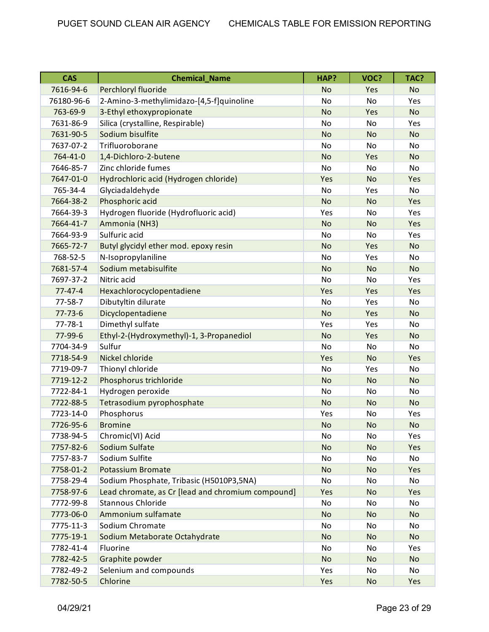| <b>CAS</b>    | <b>Chemical_Name</b>                              | HAP?      | VOC?      | TAC?      |
|---------------|---------------------------------------------------|-----------|-----------|-----------|
| 7616-94-6     | Perchloryl fluoride                               | <b>No</b> | Yes       | <b>No</b> |
| 76180-96-6    | 2-Amino-3-methylimidazo-[4,5-f]quinoline          | No        | <b>No</b> | Yes       |
| 763-69-9      | 3-Ethyl ethoxypropionate                          | <b>No</b> | Yes       | <b>No</b> |
| 7631-86-9     | Silica (crystalline, Respirable)                  | No        | No        | Yes       |
| 7631-90-5     | Sodium bisulfite                                  | <b>No</b> | <b>No</b> | <b>No</b> |
| 7637-07-2     | Trifluoroborane                                   | No        | No        | No        |
| 764-41-0      | 1,4-Dichloro-2-butene                             | <b>No</b> | Yes       | <b>No</b> |
| 7646-85-7     | Zinc chloride fumes                               | <b>No</b> | No        | No        |
| 7647-01-0     | Hydrochloric acid (Hydrogen chloride)             | Yes       | <b>No</b> | Yes       |
| 765-34-4      | Glyciadaldehyde                                   | <b>No</b> | Yes       | <b>No</b> |
| 7664-38-2     | Phosphoric acid                                   | <b>No</b> | <b>No</b> | Yes       |
| 7664-39-3     | Hydrogen fluoride (Hydrofluoric acid)             | Yes       | No        | Yes       |
| 7664-41-7     | Ammonia (NH3)                                     | <b>No</b> | <b>No</b> | Yes       |
| 7664-93-9     | Sulfuric acid                                     | <b>No</b> | No        | Yes       |
| 7665-72-7     | Butyl glycidyl ether mod. epoxy resin             | <b>No</b> | Yes       | <b>No</b> |
| 768-52-5      | N-Isopropylaniline                                | <b>No</b> | Yes       | No        |
| 7681-57-4     | Sodium metabisulfite                              | <b>No</b> | <b>No</b> | <b>No</b> |
| 7697-37-2     | Nitric acid                                       | No        | No        | Yes       |
| $77 - 47 - 4$ | Hexachlorocyclopentadiene                         | Yes       | Yes       | Yes       |
| $77 - 58 - 7$ | Dibutyltin dilurate                               | No        | Yes       | No        |
| $77 - 73 - 6$ | Dicyclopentadiene                                 | <b>No</b> | Yes       | <b>No</b> |
| $77 - 78 - 1$ | Dimethyl sulfate                                  | Yes       | Yes       | No.       |
| 77-99-6       | Ethyl-2-(Hydroxymethyl)-1, 3-Propanediol          | <b>No</b> | Yes       | <b>No</b> |
| 7704-34-9     | Sulfur                                            | No        | No        | No        |
| 7718-54-9     | Nickel chloride                                   | Yes       | <b>No</b> | Yes       |
| 7719-09-7     | Thionyl chloride                                  | No        | Yes       | No        |
| 7719-12-2     | Phosphorus trichloride                            | <b>No</b> | <b>No</b> | <b>No</b> |
| 7722-84-1     | Hydrogen peroxide                                 | <b>No</b> | No        | No        |
| 7722-88-5     | Tetrasodium pyrophosphate                         | <b>No</b> | <b>No</b> | <b>No</b> |
| 7723-14-0     | Phosphorus                                        | Yes       | No        | Yes       |
| 7726-95-6     | <b>Bromine</b>                                    | <b>No</b> | <b>No</b> | No        |
| 7738-94-5     | Chromic(VI) Acid                                  | No        | No        | Yes       |
| 7757-82-6     | Sodium Sulfate                                    | <b>No</b> | <b>No</b> | Yes       |
| 7757-83-7     | Sodium Sulfite                                    | No        | No        | No        |
| 7758-01-2     | <b>Potassium Bromate</b>                          | <b>No</b> | <b>No</b> | Yes       |
| 7758-29-4     | Sodium Phosphate, Tribasic (H5010P3,5NA)          | No        | No        | No        |
| 7758-97-6     | Lead chromate, as Cr [lead and chromium compound] | Yes       | <b>No</b> | Yes       |
| 7772-99-8     | <b>Stannous Chloride</b>                          | No        | No        | No        |
| 7773-06-0     | Ammonium sulfamate                                | <b>No</b> | No        | No        |
| 7775-11-3     | Sodium Chromate                                   | No        | No        | No        |
| 7775-19-1     | Sodium Metaborate Octahydrate                     | <b>No</b> | <b>No</b> | <b>No</b> |
| 7782-41-4     | Fluorine                                          | No        | No        | Yes       |
| 7782-42-5     | Graphite powder                                   | <b>No</b> | <b>No</b> | <b>No</b> |
| 7782-49-2     | Selenium and compounds                            | Yes       | No        | No        |
| 7782-50-5     | Chlorine                                          | Yes       | No        | Yes       |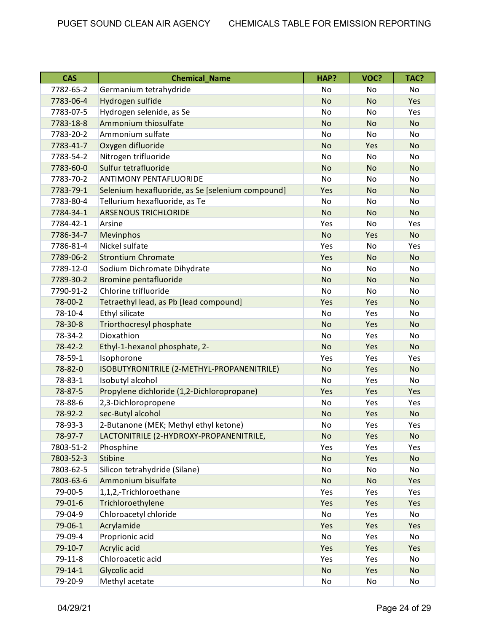| <b>CAS</b>    | <b>Chemical Name</b>                             | HAP?      | VOC?      | TAC?      |
|---------------|--------------------------------------------------|-----------|-----------|-----------|
| 7782-65-2     | Germanium tetrahydride                           | No        | No        | No        |
| 7783-06-4     | Hydrogen sulfide                                 | <b>No</b> | <b>No</b> | Yes       |
| 7783-07-5     | Hydrogen selenide, as Se                         | <b>No</b> | <b>No</b> | Yes       |
| 7783-18-8     | Ammonium thiosulfate                             | <b>No</b> | <b>No</b> | <b>No</b> |
| 7783-20-2     | Ammonium sulfate                                 | <b>No</b> | No        | No        |
| 7783-41-7     | Oxygen difluoride                                | <b>No</b> | Yes       | <b>No</b> |
| 7783-54-2     | Nitrogen trifluoride                             | No        | No        | No        |
| 7783-60-0     | Sulfur tetrafluoride                             | <b>No</b> | <b>No</b> | <b>No</b> |
| 7783-70-2     | <b>ANTIMONY PENTAFLUORIDE</b>                    | <b>No</b> | <b>No</b> | <b>No</b> |
| 7783-79-1     | Selenium hexafluoride, as Se [selenium compound] | Yes       | No        | <b>No</b> |
| 7783-80-4     | Tellurium hexafluoride, as Te                    | No        | No        | No        |
| 7784-34-1     | <b>ARSENOUS TRICHLORIDE</b>                      | <b>No</b> | <b>No</b> | <b>No</b> |
| 7784-42-1     | Arsine                                           | Yes       | No        | Yes       |
| 7786-34-7     | Mevinphos                                        | <b>No</b> | Yes       | <b>No</b> |
| 7786-81-4     | Nickel sulfate                                   | Yes       | <b>No</b> | Yes       |
| 7789-06-2     | <b>Strontium Chromate</b>                        | Yes       | <b>No</b> | <b>No</b> |
| 7789-12-0     | Sodium Dichromate Dihydrate                      | No        | No        | No        |
| 7789-30-2     | Bromine pentafluoride                            | <b>No</b> | <b>No</b> | <b>No</b> |
| 7790-91-2     | Chlorine trifluoride                             | No        | No        | No        |
| 78-00-2       | Tetraethyl lead, as Pb [lead compound]           | Yes       | Yes       | <b>No</b> |
| 78-10-4       | Ethyl silicate                                   | <b>No</b> | Yes       | <b>No</b> |
| 78-30-8       | Triorthocresyl phosphate                         | <b>No</b> | Yes       | <b>No</b> |
| 78-34-2       | Dioxathion                                       | <b>No</b> | Yes       | No        |
| 78-42-2       | Ethyl-1-hexanol phosphate, 2-                    | <b>No</b> | Yes       | <b>No</b> |
| 78-59-1       | Isophorone                                       | Yes       | Yes       | Yes       |
| 78-82-0       | ISOBUTYRONITRILE (2-METHYL-PROPANENITRILE)       | <b>No</b> | Yes       | <b>No</b> |
| 78-83-1       | Isobutyl alcohol                                 | <b>No</b> | Yes       | No        |
| 78-87-5       | Propylene dichloride (1,2-Dichloropropane)       | Yes       | Yes       | Yes       |
| 78-88-6       | 2,3-Dichloropropene                              | No        | Yes       | Yes       |
| 78-92-2       | sec-Butyl alcohol                                | <b>No</b> | Yes       | <b>No</b> |
| 78-93-3       | 2-Butanone (MEK; Methyl ethyl ketone)            | No        | Yes       | Yes       |
| 78-97-7       | LACTONITRILE (2-HYDROXY-PROPANENITRILE,          | <b>No</b> | Yes       | <b>No</b> |
| 7803-51-2     | Phosphine                                        | Yes       | Yes       | Yes       |
| 7803-52-3     | <b>Stibine</b>                                   | <b>No</b> | Yes       | <b>No</b> |
| 7803-62-5     | Silicon tetrahydride (Silane)                    | No        | No        | No        |
| 7803-63-6     | Ammonium bisulfate                               | <b>No</b> | <b>No</b> | Yes       |
| 79-00-5       | 1,1,2,-Trichloroethane                           | Yes       | Yes       | Yes       |
| 79-01-6       | Trichloroethylene                                | Yes       | Yes       | Yes       |
| 79-04-9       | Chloroacetyl chloride                            | No        | Yes       | No        |
| 79-06-1       | Acrylamide                                       | Yes       | Yes       | Yes       |
| 79-09-4       | Proprionic acid                                  | No        | Yes       | No        |
| 79-10-7       | Acrylic acid                                     | Yes       | Yes       | Yes       |
| $79 - 11 - 8$ | Chloroacetic acid                                | Yes       | Yes       | No        |
| $79 - 14 - 1$ | Glycolic acid                                    | <b>No</b> | Yes       | No        |
| 79-20-9       | Methyl acetate                                   | No        | No        | No        |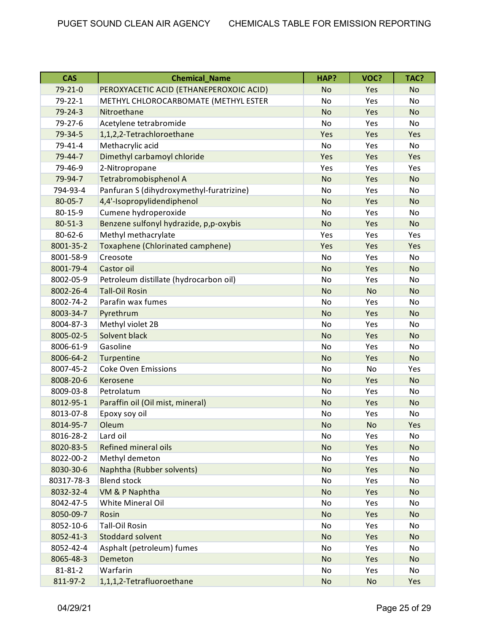| <b>CAS</b>    | <b>Chemical Name</b>                     | HAP?      | VOC?      | TAC?      |
|---------------|------------------------------------------|-----------|-----------|-----------|
| 79-21-0       | PEROXYACETIC ACID (ETHANEPEROXOIC ACID)  | <b>No</b> | Yes       | <b>No</b> |
| 79-22-1       | METHYL CHLOROCARBOMATE (METHYL ESTER     | No        | Yes       | No        |
| $79 - 24 - 3$ | Nitroethane                              | <b>No</b> | Yes       | <b>No</b> |
| 79-27-6       | Acetylene tetrabromide                   | No        | Yes       | No        |
| 79-34-5       | 1,1,2,2-Tetrachloroethane                | Yes       | Yes       | Yes       |
| 79-41-4       | Methacrylic acid                         | <b>No</b> | Yes       | No        |
| 79-44-7       | Dimethyl carbamoyl chloride              | Yes       | Yes       | Yes       |
| 79-46-9       | 2-Nitropropane                           | Yes       | Yes       | Yes       |
| 79-94-7       | Tetrabromobisphenol A                    | <b>No</b> | Yes       | <b>No</b> |
| 794-93-4      | Panfuran S (dihydroxymethyl-furatrizine) | No        | Yes       | <b>No</b> |
| 80-05-7       | 4,4'-Isopropylidendiphenol               | <b>No</b> | Yes       | <b>No</b> |
| 80-15-9       | Cumene hydroperoxide                     | <b>No</b> | Yes       | No        |
| $80 - 51 - 3$ | Benzene sulfonyl hydrazide, p,p-oxybis   | <b>No</b> | Yes       | <b>No</b> |
| 80-62-6       | Methyl methacrylate                      | Yes       | Yes       | Yes       |
| 8001-35-2     | Toxaphene (Chlorinated camphene)         | Yes       | Yes       | Yes       |
| 8001-58-9     | Creosote                                 | <b>No</b> | Yes       | No        |
| 8001-79-4     | Castor oil                               | <b>No</b> | Yes       | <b>No</b> |
| 8002-05-9     | Petroleum distillate (hydrocarbon oil)   | <b>No</b> | Yes       | No        |
| 8002-26-4     | <b>Tall-Oil Rosin</b>                    | <b>No</b> | <b>No</b> | <b>No</b> |
| 8002-74-2     | Parafin wax fumes                        | No        | Yes       | No        |
| 8003-34-7     | Pyrethrum                                | <b>No</b> | Yes       | <b>No</b> |
| 8004-87-3     | Methyl violet 2B                         | <b>No</b> | Yes       | No        |
| 8005-02-5     | Solvent black                            | <b>No</b> | Yes       | <b>No</b> |
| 8006-61-9     | Gasoline                                 | No        | Yes       | No        |
| 8006-64-2     | Turpentine                               | <b>No</b> | Yes       | <b>No</b> |
| 8007-45-2     | <b>Coke Oven Emissions</b>               | No        | No        | Yes       |
| 8008-20-6     | Kerosene                                 | <b>No</b> | Yes       | <b>No</b> |
| 8009-03-8     | Petrolatum                               | No        | Yes       | No        |
| 8012-95-1     | Paraffin oil (Oil mist, mineral)         | <b>No</b> | Yes       | <b>No</b> |
| 8013-07-8     | Epoxy soy oil                            | No        | Yes       | No        |
| 8014-95-7     | Oleum                                    | <b>No</b> | No        | Yes       |
| 8016-28-2     | Lard oil                                 | No        | Yes       | No        |
| 8020-83-5     | Refined mineral oils                     | <b>No</b> | Yes       | <b>No</b> |
| 8022-00-2     | Methyl demeton                           | No        | Yes       | No        |
| 8030-30-6     | Naphtha (Rubber solvents)                | <b>No</b> | Yes       | <b>No</b> |
| 80317-78-3    | <b>Blend stock</b>                       | No        | Yes       | No        |
| 8032-32-4     | VM & P Naphtha                           | <b>No</b> | Yes       | <b>No</b> |
| 8042-47-5     | White Mineral Oil                        | No        | Yes       | No        |
| 8050-09-7     | Rosin                                    | <b>No</b> | Yes       | <b>No</b> |
| 8052-10-6     | <b>Tall-Oil Rosin</b>                    | No        | Yes       | No        |
| 8052-41-3     | Stoddard solvent                         | <b>No</b> | Yes       | <b>No</b> |
| 8052-42-4     | Asphalt (petroleum) fumes                | No        | Yes       | No        |
| 8065-48-3     | Demeton                                  | <b>No</b> | Yes       | <b>No</b> |
| $81 - 81 - 2$ | Warfarin                                 | No        | Yes       | No        |
| 811-97-2      | 1,1,1,2-Tetrafluoroethane                | <b>No</b> | No        | Yes       |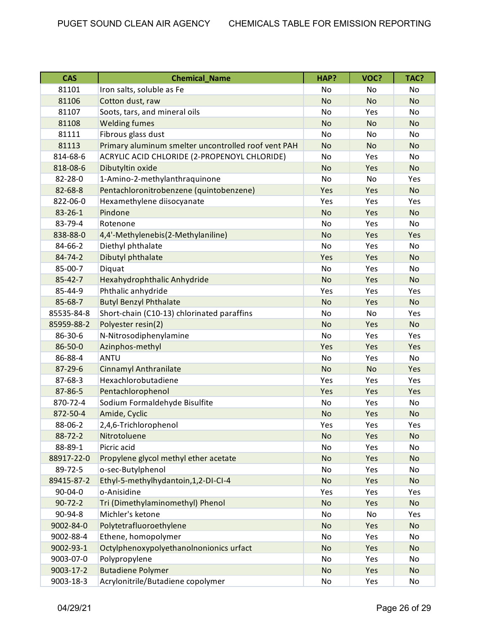| <b>CAS</b>    | <b>Chemical Name</b>                                | HAP?      | VOC?      | TAC?      |
|---------------|-----------------------------------------------------|-----------|-----------|-----------|
| 81101         | Iron salts, soluble as Fe                           | No        | No        | <b>No</b> |
| 81106         | Cotton dust, raw                                    | <b>No</b> | <b>No</b> | <b>No</b> |
| 81107         | Soots, tars, and mineral oils                       | No        | Yes       | No        |
| 81108         | <b>Welding fumes</b>                                | <b>No</b> | <b>No</b> | <b>No</b> |
| 81111         | Fibrous glass dust                                  | No        | No        | No        |
| 81113         | Primary aluminum smelter uncontrolled roof vent PAH | <b>No</b> | <b>No</b> | <b>No</b> |
| 814-68-6      | ACRYLIC ACID CHLORIDE (2-PROPENOYL CHLORIDE)        | No        | Yes       | <b>No</b> |
| 818-08-6      | Dibutyltin oxide                                    | <b>No</b> | Yes       | <b>No</b> |
| 82-28-0       | 1-Amino-2-methylanthraquinone                       | No        | No        | Yes       |
| 82-68-8       | Pentachloronitrobenzene (quintobenzene)             | Yes       | Yes       | <b>No</b> |
| 822-06-0      | Hexamethylene diisocyanate                          | Yes       | Yes       | Yes       |
| $83 - 26 - 1$ | Pindone                                             | <b>No</b> | Yes       | <b>No</b> |
| 83-79-4       | Rotenone                                            | No        | Yes       | No        |
| 838-88-0      | 4,4'-Methylenebis(2-Methylaniline)                  | <b>No</b> | Yes       | Yes       |
| 84-66-2       | Diethyl phthalate                                   | No        | Yes       | No        |
| $84 - 74 - 2$ | Dibutyl phthalate                                   | Yes       | Yes       | <b>No</b> |
| 85-00-7       | Diquat                                              | No        | Yes       | No        |
| $85 - 42 - 7$ | Hexahydrophthalic Anhydride                         | <b>No</b> | Yes       | <b>No</b> |
| 85-44-9       | Phthalic anhydride                                  | Yes       | Yes       | Yes       |
| 85-68-7       | <b>Butyl Benzyl Phthalate</b>                       | <b>No</b> | Yes       | <b>No</b> |
| 85535-84-8    | Short-chain (C10-13) chlorinated paraffins          | No        | No        | Yes       |
| 85959-88-2    | Polyester resin(2)                                  | <b>No</b> | Yes       | <b>No</b> |
| 86-30-6       | N-Nitrosodiphenylamine                              | No        | Yes       | Yes       |
| 86-50-0       | Azinphos-methyl                                     | Yes       | Yes       | Yes       |
| 86-88-4       | ANTU                                                | <b>No</b> | Yes       | No        |
| 87-29-6       | Cinnamyl Anthranilate                               | <b>No</b> | <b>No</b> | Yes       |
| 87-68-3       | Hexachlorobutadiene                                 | Yes       | Yes       | Yes       |
| 87-86-5       | Pentachlorophenol                                   | Yes       | Yes       | Yes       |
| 870-72-4      | Sodium Formaldehyde Bisulfite                       | No        | Yes       | No        |
| 872-50-4      | Amide, Cyclic                                       | <b>No</b> | Yes       | <b>No</b> |
| 88-06-2       | 2,4,6-Trichlorophenol                               | Yes       | Yes       | Yes       |
| 88-72-2       | Nitrotoluene                                        | No        | Yes       | <b>No</b> |
| 88-89-1       | Picric acid                                         | No        | Yes       | No        |
| 88917-22-0    | Propylene glycol methyl ether acetate               | <b>No</b> | Yes       | <b>No</b> |
| 89-72-5       | o-sec-Butylphenol                                   | No        | Yes       | No        |
| 89415-87-2    | Ethyl-5-methylhydantoin, 1, 2-DI-CI-4               | <b>No</b> | Yes       | <b>No</b> |
| $90 - 04 - 0$ | o-Anisidine                                         | Yes       | Yes       | Yes       |
| $90 - 72 - 2$ | Tri (Dimethylaminomethyl) Phenol                    | <b>No</b> | Yes       | <b>No</b> |
| 90-94-8       | Michler's ketone                                    | No        | No        | Yes       |
| 9002-84-0     | Polytetrafluoroethylene                             | <b>No</b> | Yes       | <b>No</b> |
| 9002-88-4     | Ethene, homopolymer                                 | No        | Yes       | No        |
| 9002-93-1     | Octylphenoxypolyethanolnonionics urfact             | <b>No</b> | Yes       | <b>No</b> |
| 9003-07-0     | Polypropylene                                       | No        | Yes       | No        |
| 9003-17-2     | <b>Butadiene Polymer</b>                            | <b>No</b> | Yes       | <b>No</b> |
| 9003-18-3     | Acrylonitrile/Butadiene copolymer                   | No        | Yes       | No        |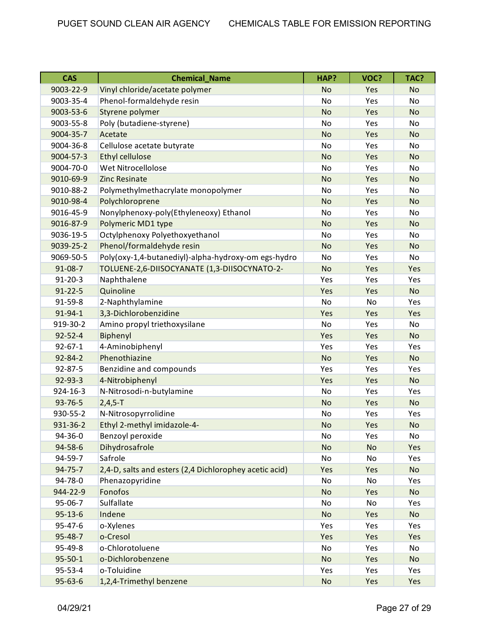| <b>CAS</b>    | <b>Chemical Name</b>                                   | HAP?      | VOC?      | TAC?      |
|---------------|--------------------------------------------------------|-----------|-----------|-----------|
| 9003-22-9     | Vinyl chloride/acetate polymer                         | <b>No</b> | Yes       | <b>No</b> |
| 9003-35-4     | Phenol-formaldehyde resin                              | No        | Yes       | No        |
| 9003-53-6     | Styrene polymer                                        | <b>No</b> | Yes       | <b>No</b> |
| 9003-55-8     | Poly (butadiene-styrene)                               | <b>No</b> | Yes       | No        |
| 9004-35-7     | Acetate                                                | <b>No</b> | Yes       | <b>No</b> |
| 9004-36-8     | Cellulose acetate butyrate                             | No        | Yes       | No        |
| 9004-57-3     | <b>Ethyl cellulose</b>                                 | <b>No</b> | Yes       | <b>No</b> |
| 9004-70-0     | Wet Nitrocellolose                                     | No        | Yes       | No        |
| 9010-69-9     | <b>Zinc Resinate</b>                                   | <b>No</b> | Yes       | <b>No</b> |
| 9010-88-2     | Polymethylmethacrylate monopolymer                     | No        | Yes       | No        |
| 9010-98-4     | Polychloroprene                                        | <b>No</b> | Yes       | <b>No</b> |
| 9016-45-9     | Nonylphenoxy-poly(Ethyleneoxy) Ethanol                 | No        | Yes       | No        |
| 9016-87-9     | Polymeric MD1 type                                     | <b>No</b> | Yes       | <b>No</b> |
| 9036-19-5     | Octylphenoxy Polyethoxyethanol                         | <b>No</b> | Yes       | No.       |
| 9039-25-2     | Phenol/formaldehyde resin                              | <b>No</b> | Yes       | <b>No</b> |
| 9069-50-5     | Poly(oxy-1,4-butanediyl)-alpha-hydroxy-om egs-hydro    | No        | Yes       | No        |
| 91-08-7       | TOLUENE-2,6-DIISOCYANATE (1,3-DIISOCYNATO-2-           | <b>No</b> | Yes       | Yes       |
| $91 - 20 - 3$ | Naphthalene                                            | Yes       | Yes       | Yes       |
| $91 - 22 - 5$ | Quinoline                                              | Yes       | Yes       | <b>No</b> |
| 91-59-8       | 2-Naphthylamine                                        | <b>No</b> | No        | Yes       |
| 91-94-1       | 3,3-Dichlorobenzidine                                  | Yes       | Yes       | Yes       |
| 919-30-2      | Amino propyl triethoxysilane                           | No        | Yes       | No        |
| $92 - 52 - 4$ | Biphenyl                                               | Yes       | Yes       | <b>No</b> |
| $92 - 67 - 1$ | 4-Aminobiphenyl                                        | Yes       | Yes       | Yes       |
| $92 - 84 - 2$ | Phenothiazine                                          | <b>No</b> | Yes       | <b>No</b> |
| $92 - 87 - 5$ | Benzidine and compounds                                | Yes       | Yes       | Yes       |
| 92-93-3       | 4-Nitrobiphenyl                                        | Yes       | Yes       | <b>No</b> |
| 924-16-3      | N-Nitrosodi-n-butylamine                               | No        | Yes       | Yes       |
| 93-76-5       | $2,4,5-T$                                              | <b>No</b> | Yes       | <b>No</b> |
| 930-55-2      | N-Nitrosopyrrolidine                                   | No        | Yes       | Yes       |
| 931-36-2      | Ethyl 2-methyl imidazole-4-                            | No        | Yes       | No        |
| 94-36-0       | Benzoyl peroxide                                       | No        | Yes       | No        |
| 94-58-6       | Dihydrosafrole                                         | <b>No</b> | <b>No</b> | Yes       |
| 94-59-7       | Safrole                                                | No        | No        | Yes       |
| 94-75-7       | 2,4-D, salts and esters (2,4 Dichlorophey acetic acid) | Yes       | Yes       | <b>No</b> |
| 94-78-0       | Phenazopyridine                                        | No        | No        | Yes       |
| 944-22-9      | Fonofos                                                | <b>No</b> | Yes       | <b>No</b> |
| 95-06-7       | Sulfallate                                             | No        | No        | Yes       |
| $95 - 13 - 6$ | Indene                                                 | <b>No</b> | Yes       | <b>No</b> |
| 95-47-6       | o-Xylenes                                              | Yes       | Yes       | Yes       |
| 95-48-7       | o-Cresol                                               | Yes       | Yes       | Yes       |
| 95-49-8       | o-Chlorotoluene                                        | No        | Yes       | No        |
| $95 - 50 - 1$ | o-Dichlorobenzene                                      | <b>No</b> | Yes       | <b>No</b> |
| 95-53-4       | o-Toluidine                                            | Yes       | Yes       | Yes       |
| $95 - 63 - 6$ | 1,2,4-Trimethyl benzene                                | <b>No</b> | Yes       | Yes       |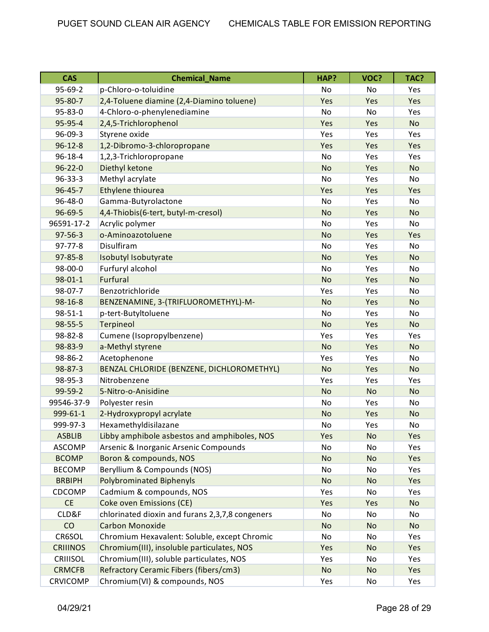| <b>CAS</b>      | <b>Chemical_Name</b>                            | HAP?      | VOC?      | TAC?      |
|-----------------|-------------------------------------------------|-----------|-----------|-----------|
| 95-69-2         | p-Chloro-o-toluidine                            | No        | No        | Yes       |
| 95-80-7         | 2,4-Toluene diamine (2,4-Diamino toluene)       | Yes       | Yes       | Yes       |
| 95-83-0         | 4-Chloro-o-phenylenediamine                     | <b>No</b> | No        | Yes       |
| 95-95-4         | 2,4,5-Trichlorophenol                           | Yes       | Yes       | <b>No</b> |
| 96-09-3         | Styrene oxide                                   | Yes       | Yes       | Yes       |
| $96 - 12 - 8$   | 1,2-Dibromo-3-chloropropane                     | Yes       | Yes       | Yes       |
| 96-18-4         | 1,2,3-Trichloropropane                          | No        | Yes       | Yes       |
| $96 - 22 - 0$   | Diethyl ketone                                  | <b>No</b> | Yes       | <b>No</b> |
| $96 - 33 - 3$   | Methyl acrylate                                 | <b>No</b> | Yes       | No        |
| 96-45-7         | Ethylene thiourea                               | Yes       | Yes       | Yes       |
| 96-48-0         | Gamma-Butyrolactone                             | <b>No</b> | Yes       | No        |
| 96-69-5         | 4,4-Thiobis(6-tert, butyl-m-cresol)             | <b>No</b> | Yes       | <b>No</b> |
| 96591-17-2      | Acrylic polymer                                 | No        | Yes       | No        |
| $97 - 56 - 3$   | o-Aminoazotoluene                               | <b>No</b> | Yes       | Yes       |
| $97 - 77 - 8$   | Disulfiram                                      | No        | Yes       | No        |
| $97 - 85 - 8$   | Isobutyl Isobutyrate                            | <b>No</b> | Yes       | <b>No</b> |
| $98 - 00 - 0$   | Furfuryl alcohol                                | <b>No</b> | Yes       | No        |
| $98 - 01 - 1$   | Furfural                                        | <b>No</b> | Yes       | <b>No</b> |
| 98-07-7         | Benzotrichloride                                | Yes       | Yes       | No        |
| 98-16-8         | BENZENAMINE, 3-(TRIFLUOROMETHYL)-M-             | <b>No</b> | Yes       | <b>No</b> |
| $98 - 51 - 1$   | p-tert-Butyltoluene                             | No        | Yes       | No        |
| 98-55-5         | Terpineol                                       | <b>No</b> | Yes       | <b>No</b> |
| 98-82-8         | Cumene (Isopropylbenzene)                       | Yes       | Yes       | Yes       |
| 98-83-9         | a-Methyl styrene                                | <b>No</b> | Yes       | <b>No</b> |
| 98-86-2         | Acetophenone                                    | Yes       | Yes       | No        |
| 98-87-3         | BENZAL CHLORIDE (BENZENE, DICHLOROMETHYL)       | <b>No</b> | Yes       | <b>No</b> |
| 98-95-3         | Nitrobenzene                                    | Yes       | Yes       | Yes       |
| 99-59-2         | 5-Nitro-o-Anisidine                             | <b>No</b> | <b>No</b> | <b>No</b> |
| 99546-37-9      | Polyester resin                                 | <b>No</b> | Yes       | No        |
| 999-61-1        | 2-Hydroxypropyl acrylate                        | <b>No</b> | Yes       | <b>No</b> |
| 999-97-3        | Hexamethyldisilazane                            | No        | Yes       | No        |
| <b>ASBLIB</b>   | Libby amphibole asbestos and amphiboles, NOS    | Yes       | <b>No</b> | Yes       |
| <b>ASCOMP</b>   | Arsenic & Inorganic Arsenic Compounds           | No        | No        | Yes       |
| <b>BCOMP</b>    | Boron & compounds, NOS                          | <b>No</b> | <b>No</b> | Yes       |
| <b>BECOMP</b>   | Beryllium & Compounds (NOS)                     | No        | No        | Yes       |
| <b>BRBIPH</b>   | <b>Polybrominated Biphenyls</b>                 | <b>No</b> | No        | Yes       |
| CDCOMP          | Cadmium & compounds, NOS                        | Yes       | No        | Yes       |
| <b>CE</b>       | <b>Coke oven Emissions (CE)</b>                 | Yes       | Yes       | <b>No</b> |
| CLD&F           | chlorinated dioxin and furans 2,3,7,8 congeners | No        | No        | No        |
| CO              | <b>Carbon Monoxide</b>                          | <b>No</b> | <b>No</b> | <b>No</b> |
| CR6SOL          | Chromium Hexavalent: Soluble, except Chromic    | No        | No        | Yes       |
| <b>CRIIINOS</b> | Chromium(III), insoluble particulates, NOS      | Yes       | <b>No</b> | Yes       |
| CRIIISOL        | Chromium(III), soluble particulates, NOS        | Yes       | No        | Yes       |
| <b>CRMCFB</b>   | Refractory Ceramic Fibers (fibers/cm3)          | <b>No</b> | <b>No</b> | Yes       |
| <b>CRVICOMP</b> | Chromium(VI) & compounds, NOS                   | Yes       | No        | Yes       |